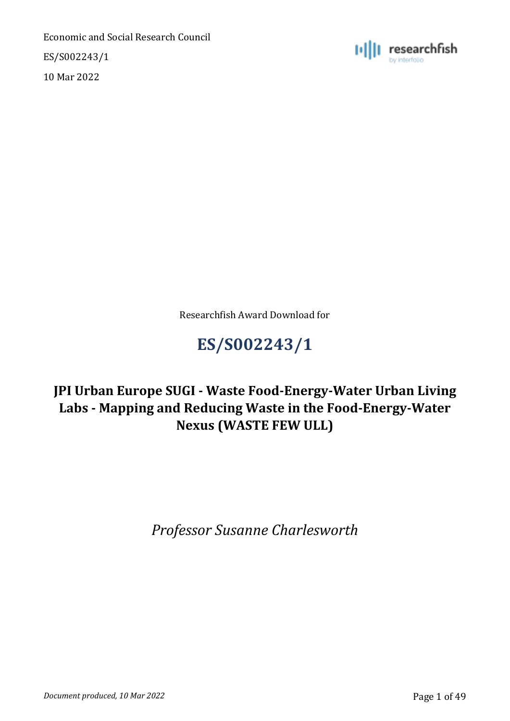ES/S002243/1

10 Mar 2022



Researchfish Award Download for

# **ES/S002243/1**

# **JPI Urban Europe SUGI - Waste Food-Energy-Water Urban Living Labs - Mapping and Reducing Waste in the Food-Energy-Water Nexus (WASTE FEW ULL)**

*Professor Susanne Charlesworth*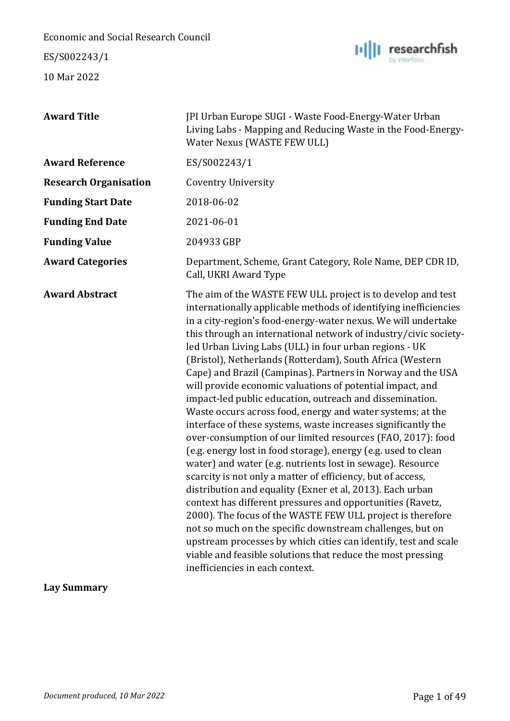ES/S002243/1

10 Mar 2022



| <b>Award Title</b>           | JPI Urban Europe SUGI - Waste Food-Energy-Water Urban<br>Living Labs - Mapping and Reducing Waste in the Food-Energy-<br>Water Nexus (WASTE FEW ULL)                                                                                                                                                                                                                                                                                                                                                                                                                                                                                                                                                                                                                                                                                                                                                                                                                                                                                                                                                                                                                                                                                                                                                                                                                                                        |
|------------------------------|-------------------------------------------------------------------------------------------------------------------------------------------------------------------------------------------------------------------------------------------------------------------------------------------------------------------------------------------------------------------------------------------------------------------------------------------------------------------------------------------------------------------------------------------------------------------------------------------------------------------------------------------------------------------------------------------------------------------------------------------------------------------------------------------------------------------------------------------------------------------------------------------------------------------------------------------------------------------------------------------------------------------------------------------------------------------------------------------------------------------------------------------------------------------------------------------------------------------------------------------------------------------------------------------------------------------------------------------------------------------------------------------------------------|
| <b>Award Reference</b>       | ES/S002243/1                                                                                                                                                                                                                                                                                                                                                                                                                                                                                                                                                                                                                                                                                                                                                                                                                                                                                                                                                                                                                                                                                                                                                                                                                                                                                                                                                                                                |
| <b>Research Organisation</b> | <b>Coventry University</b>                                                                                                                                                                                                                                                                                                                                                                                                                                                                                                                                                                                                                                                                                                                                                                                                                                                                                                                                                                                                                                                                                                                                                                                                                                                                                                                                                                                  |
| <b>Funding Start Date</b>    | 2018-06-02                                                                                                                                                                                                                                                                                                                                                                                                                                                                                                                                                                                                                                                                                                                                                                                                                                                                                                                                                                                                                                                                                                                                                                                                                                                                                                                                                                                                  |
| <b>Funding End Date</b>      | 2021-06-01                                                                                                                                                                                                                                                                                                                                                                                                                                                                                                                                                                                                                                                                                                                                                                                                                                                                                                                                                                                                                                                                                                                                                                                                                                                                                                                                                                                                  |
| <b>Funding Value</b>         | 204933 GBP                                                                                                                                                                                                                                                                                                                                                                                                                                                                                                                                                                                                                                                                                                                                                                                                                                                                                                                                                                                                                                                                                                                                                                                                                                                                                                                                                                                                  |
| <b>Award Categories</b>      | Department, Scheme, Grant Category, Role Name, DEP CDR ID,<br>Call, UKRI Award Type                                                                                                                                                                                                                                                                                                                                                                                                                                                                                                                                                                                                                                                                                                                                                                                                                                                                                                                                                                                                                                                                                                                                                                                                                                                                                                                         |
| <b>Award Abstract</b>        | The aim of the WASTE FEW ULL project is to develop and test<br>internationally applicable methods of identifying inefficiencies<br>in a city-region's food-energy-water nexus. We will undertake<br>this through an international network of industry/civic society-<br>led Urban Living Labs (ULL) in four urban regions - UK<br>(Bristol), Netherlands (Rotterdam), South Africa (Western<br>Cape) and Brazil (Campinas). Partners in Norway and the USA<br>will provide economic valuations of potential impact, and<br>impact-led public education, outreach and dissemination.<br>Waste occurs across food, energy and water systems; at the<br>interface of these systems, waste increases significantly the<br>over-consumption of our limited resources (FAO, 2017): food<br>(e.g. energy lost in food storage), energy (e.g. used to clean<br>water) and water (e.g. nutrients lost in sewage). Resource<br>scarcity is not only a matter of efficiency, but of access,<br>distribution and equality (Exner et al, 2013). Each urban<br>context has different pressures and opportunities (Ravetz,<br>2000). The focus of the WASTE FEW ULL project is therefore<br>not so much on the specific downstream challenges, but on<br>upstream processes by which cities can identify, test and scale<br>viable and feasible solutions that reduce the most pressing<br>inefficiencies in each context. |

**Lay Summary**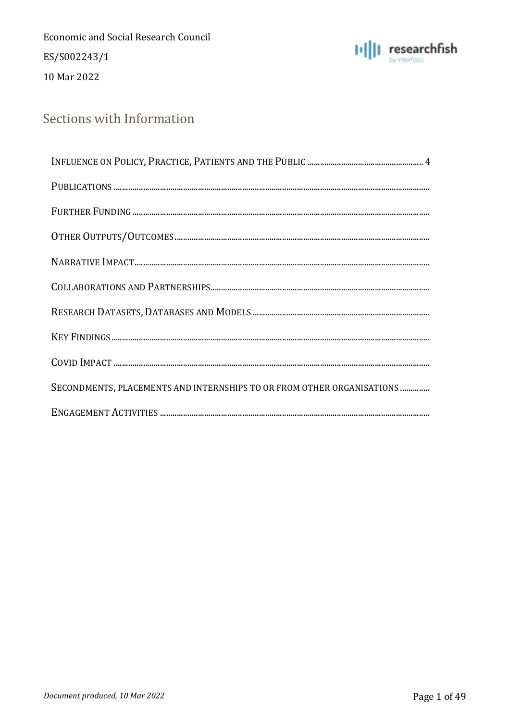**Economic and Social Research Council** ES/S002243/1 10 Mar 2022



### Sections with Information

| $\label{eq:1} \textbf{PUBLICATIONS}\textcolor{red}{\textbf{}}\textcolor{red}{\textbf{}}\textcolor{red}{\textbf{}}\textcolor{red}{\textbf{}}\textcolor{red}{\textbf{}}\textcolor{red}{\textbf{}}\textcolor{red}{\textbf{}}\textcolor{red}{\textbf{}}\textcolor{red}{\textbf{}}\textcolor{red}{\textbf{}}\textcolor{red}{\textbf{}}\textcolor{red}{\textbf{}}\textcolor{red}{\textbf{}}\textcolor{red}{\textbf{}}\textcolor{red}{\textbf{}}\textcolor{red}{\textbf{}}\textcolor{red}{\textbf{}}\$ |
|-------------------------------------------------------------------------------------------------------------------------------------------------------------------------------------------------------------------------------------------------------------------------------------------------------------------------------------------------------------------------------------------------------------------------------------------------------------------------------------------------|
|                                                                                                                                                                                                                                                                                                                                                                                                                                                                                                 |
|                                                                                                                                                                                                                                                                                                                                                                                                                                                                                                 |
|                                                                                                                                                                                                                                                                                                                                                                                                                                                                                                 |
|                                                                                                                                                                                                                                                                                                                                                                                                                                                                                                 |
|                                                                                                                                                                                                                                                                                                                                                                                                                                                                                                 |
|                                                                                                                                                                                                                                                                                                                                                                                                                                                                                                 |
|                                                                                                                                                                                                                                                                                                                                                                                                                                                                                                 |
| SECONDMENTS, PLACEMENTS AND INTERNSHIPS TO OR FROM OTHER ORGANISATIONS                                                                                                                                                                                                                                                                                                                                                                                                                          |
|                                                                                                                                                                                                                                                                                                                                                                                                                                                                                                 |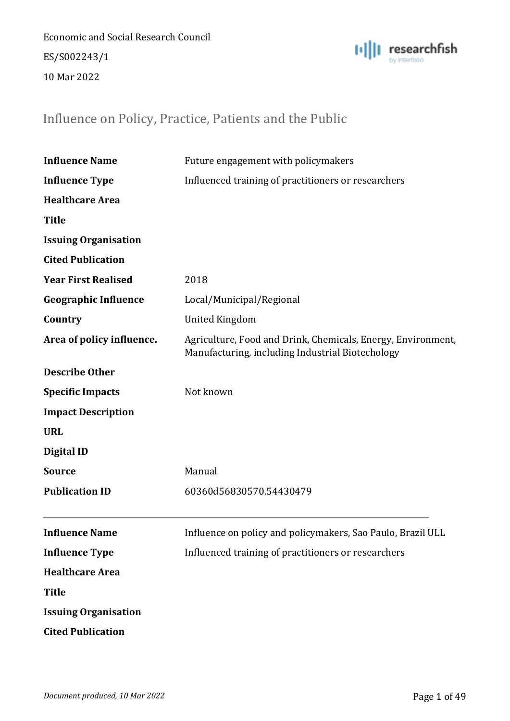Economic and Social Research Council ES/S002243/1 10 Mar 2022



### <span id="page-3-0"></span>Influence on Policy, Practice, Patients and the Public

| <b>Influence Name</b>       | Future engagement with policymakers                                                                              |
|-----------------------------|------------------------------------------------------------------------------------------------------------------|
| <b>Influence Type</b>       | Influenced training of practitioners or researchers                                                              |
| <b>Healthcare Area</b>      |                                                                                                                  |
| <b>Title</b>                |                                                                                                                  |
| <b>Issuing Organisation</b> |                                                                                                                  |
| <b>Cited Publication</b>    |                                                                                                                  |
| <b>Year First Realised</b>  | 2018                                                                                                             |
| <b>Geographic Influence</b> | Local/Municipal/Regional                                                                                         |
| Country                     | <b>United Kingdom</b>                                                                                            |
| Area of policy influence.   | Agriculture, Food and Drink, Chemicals, Energy, Environment,<br>Manufacturing, including Industrial Biotechology |
| <b>Describe Other</b>       |                                                                                                                  |
| <b>Specific Impacts</b>     | Not known                                                                                                        |
| <b>Impact Description</b>   |                                                                                                                  |
| <b>URL</b>                  |                                                                                                                  |
| <b>Digital ID</b>           |                                                                                                                  |
| <b>Source</b>               | Manual                                                                                                           |
| <b>Publication ID</b>       | 60360d56830570.54430479                                                                                          |
| <b>Influence Name</b>       | Influence on policy and policymakers, Sao Paulo, Brazil ULL                                                      |
| <b>Influence Type</b>       | Influenced training of practitioners or researchers                                                              |
| <b>Healthcare Area</b>      |                                                                                                                  |
| <b>Title</b>                |                                                                                                                  |
| <b>Issuing Organisation</b> |                                                                                                                  |
| <b>Cited Publication</b>    |                                                                                                                  |
|                             |                                                                                                                  |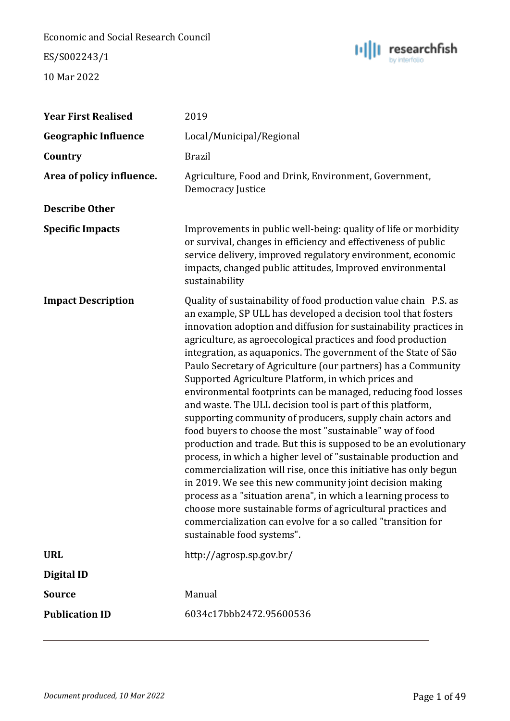ES/S002243/1



| <b>Year First Realised</b>  | 2019                                                                                                                                                                                                                                                                                                                                                                                                                                                                                                                                                                                                                                                                                                                                                                                                                                                                                                                                                                                                                                                                                                                                                                                                                            |
|-----------------------------|---------------------------------------------------------------------------------------------------------------------------------------------------------------------------------------------------------------------------------------------------------------------------------------------------------------------------------------------------------------------------------------------------------------------------------------------------------------------------------------------------------------------------------------------------------------------------------------------------------------------------------------------------------------------------------------------------------------------------------------------------------------------------------------------------------------------------------------------------------------------------------------------------------------------------------------------------------------------------------------------------------------------------------------------------------------------------------------------------------------------------------------------------------------------------------------------------------------------------------|
| <b>Geographic Influence</b> | Local/Municipal/Regional                                                                                                                                                                                                                                                                                                                                                                                                                                                                                                                                                                                                                                                                                                                                                                                                                                                                                                                                                                                                                                                                                                                                                                                                        |
| Country                     | <b>Brazil</b>                                                                                                                                                                                                                                                                                                                                                                                                                                                                                                                                                                                                                                                                                                                                                                                                                                                                                                                                                                                                                                                                                                                                                                                                                   |
| Area of policy influence.   | Agriculture, Food and Drink, Environment, Government,<br>Democracy Justice                                                                                                                                                                                                                                                                                                                                                                                                                                                                                                                                                                                                                                                                                                                                                                                                                                                                                                                                                                                                                                                                                                                                                      |
| <b>Describe Other</b>       |                                                                                                                                                                                                                                                                                                                                                                                                                                                                                                                                                                                                                                                                                                                                                                                                                                                                                                                                                                                                                                                                                                                                                                                                                                 |
| <b>Specific Impacts</b>     | Improvements in public well-being: quality of life or morbidity<br>or survival, changes in efficiency and effectiveness of public<br>service delivery, improved regulatory environment, economic<br>impacts, changed public attitudes, Improved environmental<br>sustainability                                                                                                                                                                                                                                                                                                                                                                                                                                                                                                                                                                                                                                                                                                                                                                                                                                                                                                                                                 |
| <b>Impact Description</b>   | Quality of sustainability of food production value chain P.S. as<br>an example, SP ULL has developed a decision tool that fosters<br>innovation adoption and diffusion for sustainability practices in<br>agriculture, as agroecological practices and food production<br>integration, as aquaponics. The government of the State of São<br>Paulo Secretary of Agriculture (our partners) has a Community<br>Supported Agriculture Platform, in which prices and<br>environmental footprints can be managed, reducing food losses<br>and waste. The ULL decision tool is part of this platform,<br>supporting community of producers, supply chain actors and<br>food buyers to choose the most "sustainable" way of food<br>production and trade. But this is supposed to be an evolutionary<br>process, in which a higher level of "sustainable production and<br>commercialization will rise, once this initiative has only begun<br>in 2019. We see this new community joint decision making<br>process as a "situation arena", in which a learning process to<br>choose more sustainable forms of agricultural practices and<br>commercialization can evolve for a so called "transition for<br>sustainable food systems". |
| <b>URL</b>                  | http://agrosp.sp.gov.br/                                                                                                                                                                                                                                                                                                                                                                                                                                                                                                                                                                                                                                                                                                                                                                                                                                                                                                                                                                                                                                                                                                                                                                                                        |
| <b>Digital ID</b>           |                                                                                                                                                                                                                                                                                                                                                                                                                                                                                                                                                                                                                                                                                                                                                                                                                                                                                                                                                                                                                                                                                                                                                                                                                                 |
| <b>Source</b>               | Manual                                                                                                                                                                                                                                                                                                                                                                                                                                                                                                                                                                                                                                                                                                                                                                                                                                                                                                                                                                                                                                                                                                                                                                                                                          |
| <b>Publication ID</b>       | 6034c17bbb2472.95600536                                                                                                                                                                                                                                                                                                                                                                                                                                                                                                                                                                                                                                                                                                                                                                                                                                                                                                                                                                                                                                                                                                                                                                                                         |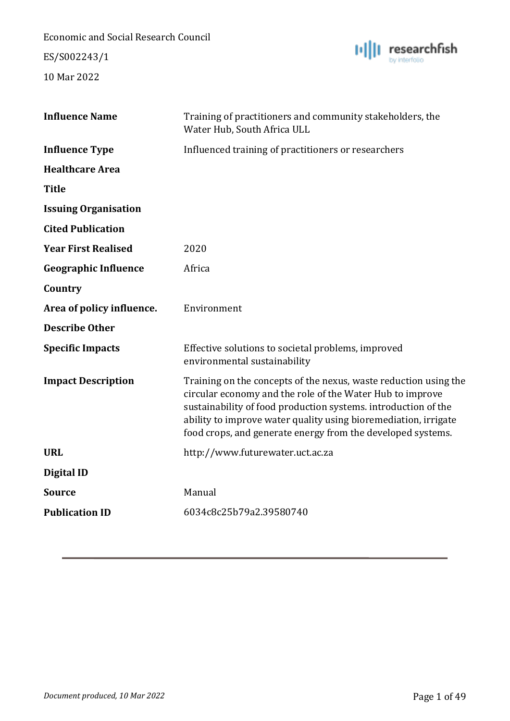ES/S002243/1



| <b>Influence Name</b>       | Training of practitioners and community stakeholders, the<br>Water Hub, South Africa ULL                                                                                                                                                                                                                                          |
|-----------------------------|-----------------------------------------------------------------------------------------------------------------------------------------------------------------------------------------------------------------------------------------------------------------------------------------------------------------------------------|
| <b>Influence Type</b>       | Influenced training of practitioners or researchers                                                                                                                                                                                                                                                                               |
| <b>Healthcare Area</b>      |                                                                                                                                                                                                                                                                                                                                   |
| <b>Title</b>                |                                                                                                                                                                                                                                                                                                                                   |
| <b>Issuing Organisation</b> |                                                                                                                                                                                                                                                                                                                                   |
| <b>Cited Publication</b>    |                                                                                                                                                                                                                                                                                                                                   |
| <b>Year First Realised</b>  | 2020                                                                                                                                                                                                                                                                                                                              |
| <b>Geographic Influence</b> | Africa                                                                                                                                                                                                                                                                                                                            |
| Country                     |                                                                                                                                                                                                                                                                                                                                   |
| Area of policy influence.   | Environment                                                                                                                                                                                                                                                                                                                       |
| <b>Describe Other</b>       |                                                                                                                                                                                                                                                                                                                                   |
| <b>Specific Impacts</b>     | Effective solutions to societal problems, improved<br>environmental sustainability                                                                                                                                                                                                                                                |
| <b>Impact Description</b>   | Training on the concepts of the nexus, waste reduction using the<br>circular economy and the role of the Water Hub to improve<br>sustainability of food production systems. introduction of the<br>ability to improve water quality using bioremediation, irrigate<br>food crops, and generate energy from the developed systems. |
| <b>URL</b>                  | http://www.futurewater.uct.ac.za                                                                                                                                                                                                                                                                                                  |
| <b>Digital ID</b>           |                                                                                                                                                                                                                                                                                                                                   |
| <b>Source</b>               | Manual                                                                                                                                                                                                                                                                                                                            |
| <b>Publication ID</b>       | 6034c8c25b79a2.39580740                                                                                                                                                                                                                                                                                                           |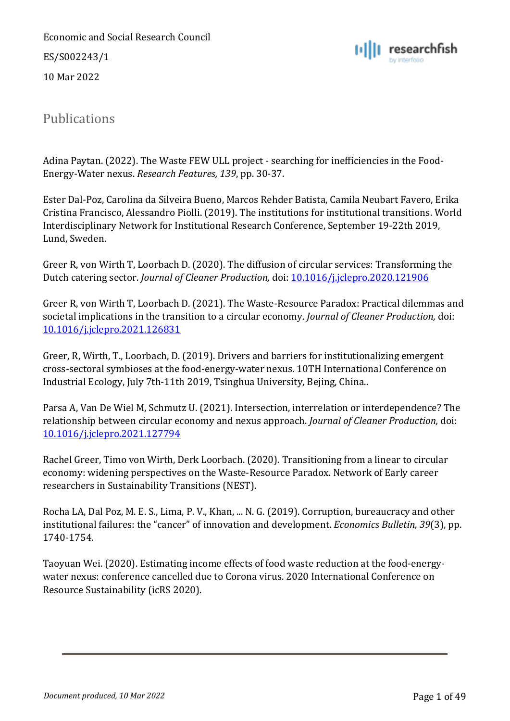Economic and Social Research Council ES/S002243/1 10 Mar 2022



### <span id="page-6-0"></span>Publications

Adina Paytan. (2022). The Waste FEW ULL project - searching for inefficiencies in the Food-Energy-Water nexus. *Research Features, 139*, pp. 30-37.

Ester Dal-Poz, Carolina da Silveira Bueno, Marcos Rehder Batista, Camila Neubart Favero, Erika Cristina Francisco, Alessandro Piolli. (2019). The institutions for institutional transitions. World Interdisciplinary Network for Institutional Research Conference, September 19-22th 2019, Lund, Sweden.

Greer R, von Wirth T, Loorbach D. (2020). The diffusion of circular services: Transforming the Dutch catering sector. *Journal of Cleaner Production,* doi: [10.1016/j.jclepro.2020.121906](about:blank)

Greer R, von Wirth T, Loorbach D. (2021). The Waste-Resource Paradox: Practical dilemmas and societal implications in the transition to a circular economy. *Journal of Cleaner Production,* doi: [10.1016/j.jclepro.2021.126831](about:blank)

Greer, R, Wirth, T., Loorbach, D. (2019). Drivers and barriers for institutionalizing emergent cross-sectoral symbioses at the food-energy-water nexus. 10TH International Conference on Industrial Ecology, July 7th-11th 2019, Tsinghua University, Bejing, China..

Parsa A, Van De Wiel M, Schmutz U. (2021). Intersection, interrelation or interdependence? The relationship between circular economy and nexus approach. *Journal of Cleaner Production,* doi: [10.1016/j.jclepro.2021.127794](about:blank)

Rachel Greer, Timo von Wirth, Derk Loorbach. (2020). Transitioning from a linear to circular economy: widening perspectives on the Waste-Resource Paradox. Network of Early career researchers in Sustainability Transitions (NEST).

Rocha LA, Dal Poz, M. E. S., Lima, P. V., Khan, ... N. G. (2019). Corruption, bureaucracy and other institutional failures: the "cancer" of innovation and development. *Economics Bulletin, 39*(3), pp. 1740-1754.

Taoyuan Wei. (2020). Estimating income effects of food waste reduction at the food-energywater nexus: conference cancelled due to Corona virus. 2020 International Conference on Resource Sustainability (icRS 2020).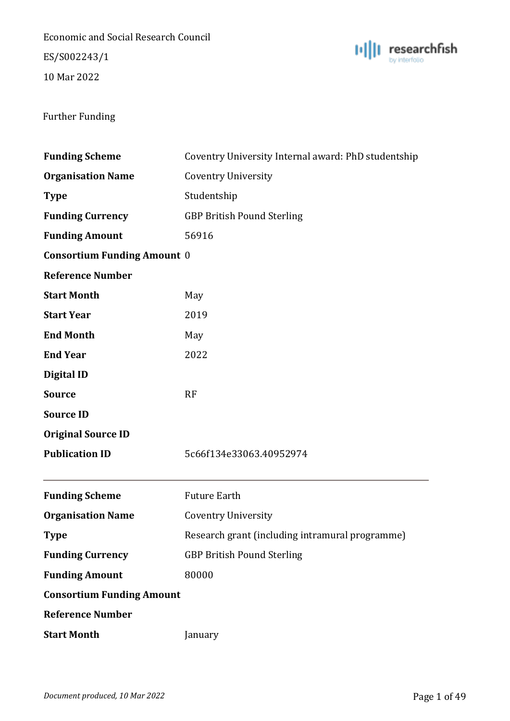Economic and Social Research Council ES/S002243/1

10 Mar 2022



#### <span id="page-7-0"></span>Further Funding

| <b>Funding Scheme</b>              | Coventry University Internal award: PhD studentship |
|------------------------------------|-----------------------------------------------------|
| <b>Organisation Name</b>           | <b>Coventry University</b>                          |
| <b>Type</b>                        | Studentship                                         |
| <b>Funding Currency</b>            | <b>GBP British Pound Sterling</b>                   |
| <b>Funding Amount</b>              | 56916                                               |
| <b>Consortium Funding Amount 0</b> |                                                     |
| <b>Reference Number</b>            |                                                     |
| <b>Start Month</b>                 | May                                                 |
| <b>Start Year</b>                  | 2019                                                |
| <b>End Month</b>                   | May                                                 |
| <b>End Year</b>                    | 2022                                                |
| <b>Digital ID</b>                  |                                                     |
| <b>Source</b>                      | RF                                                  |
| <b>Source ID</b>                   |                                                     |
| <b>Original Source ID</b>          |                                                     |
| <b>Publication ID</b>              | 5c66f134e33063.40952974                             |
|                                    |                                                     |
| <b>Funding Scheme</b>              | <b>Future Earth</b>                                 |
| <b>Organisation Name</b>           | <b>Coventry University</b>                          |
| <b>Type</b>                        | Research grant (including intramural programme)     |
| <b>Funding Currency</b>            | <b>GBP British Pound Sterling</b>                   |
| <b>Funding Amount</b>              | 80000                                               |
| <b>Consortium Funding Amount</b>   |                                                     |
| <b>Reference Number</b>            |                                                     |
| <b>Start Month</b>                 | January                                             |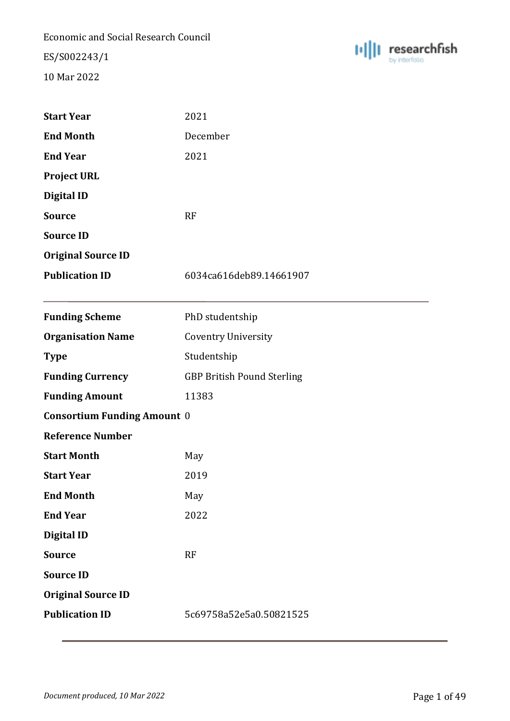ES/S002243/1



| <b>Start Year</b>                  | 2021                              |
|------------------------------------|-----------------------------------|
| <b>End Month</b>                   | December                          |
| <b>End Year</b>                    | 2021                              |
| <b>Project URL</b>                 |                                   |
| <b>Digital ID</b>                  |                                   |
| <b>Source</b>                      | <b>RF</b>                         |
| <b>Source ID</b>                   |                                   |
| <b>Original Source ID</b>          |                                   |
| <b>Publication ID</b>              | 6034ca616deb89.14661907           |
|                                    |                                   |
| <b>Funding Scheme</b>              | PhD studentship                   |
| <b>Organisation Name</b>           | <b>Coventry University</b>        |
| <b>Type</b>                        | Studentship                       |
| <b>Funding Currency</b>            | <b>GBP British Pound Sterling</b> |
| <b>Funding Amount</b>              | 11383                             |
| <b>Consortium Funding Amount 0</b> |                                   |
| <b>Reference Number</b>            |                                   |
| <b>Start Month</b>                 | May                               |
| <b>Start Year</b>                  | 2019                              |
| <b>End Month</b>                   | May                               |
| <b>End Year</b>                    | 2022                              |
| <b>Digital ID</b>                  |                                   |
| <b>Source</b>                      | <b>RF</b>                         |
| <b>Source ID</b>                   |                                   |
| <b>Original Source ID</b>          |                                   |
| <b>Publication ID</b>              | 5c69758a52e5a0.50821525           |
|                                    |                                   |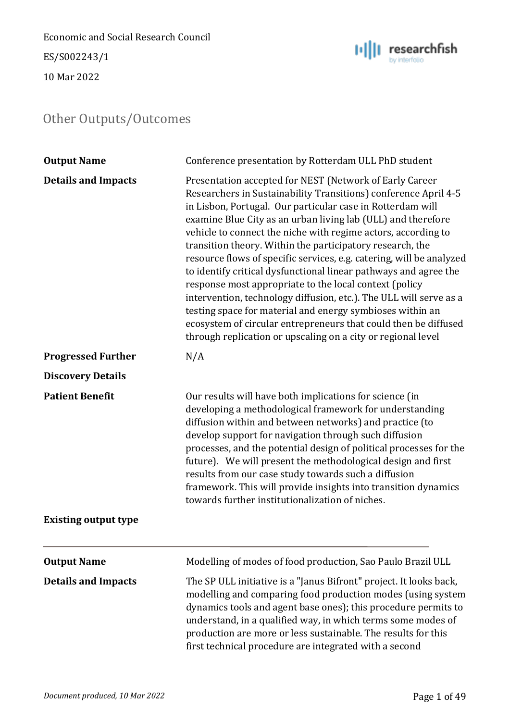Economic and Social Research Council ES/S002243/1

10 Mar 2022

<span id="page-9-0"></span>

| <b>Output Name</b>          | Conference presentation by Rotterdam ULL PhD student                                                                                                                                                                                                                                                                                                                                                                                                                                                                                                                                                                                                                                                                                                                                                                                                               |
|-----------------------------|--------------------------------------------------------------------------------------------------------------------------------------------------------------------------------------------------------------------------------------------------------------------------------------------------------------------------------------------------------------------------------------------------------------------------------------------------------------------------------------------------------------------------------------------------------------------------------------------------------------------------------------------------------------------------------------------------------------------------------------------------------------------------------------------------------------------------------------------------------------------|
| <b>Details and Impacts</b>  | Presentation accepted for NEST (Network of Early Career<br>Researchers in Sustainability Transitions) conference April 4-5<br>in Lisbon, Portugal. Our particular case in Rotterdam will<br>examine Blue City as an urban living lab (ULL) and therefore<br>vehicle to connect the niche with regime actors, according to<br>transition theory. Within the participatory research, the<br>resource flows of specific services, e.g. catering, will be analyzed<br>to identify critical dysfunctional linear pathways and agree the<br>response most appropriate to the local context (policy<br>intervention, technology diffusion, etc.). The ULL will serve as a<br>testing space for material and energy symbioses within an<br>ecosystem of circular entrepreneurs that could then be diffused<br>through replication or upscaling on a city or regional level |
| <b>Progressed Further</b>   | N/A                                                                                                                                                                                                                                                                                                                                                                                                                                                                                                                                                                                                                                                                                                                                                                                                                                                                |
| <b>Discovery Details</b>    |                                                                                                                                                                                                                                                                                                                                                                                                                                                                                                                                                                                                                                                                                                                                                                                                                                                                    |
| <b>Patient Benefit</b>      | Our results will have both implications for science (in<br>developing a methodological framework for understanding<br>diffusion within and between networks) and practice (to<br>develop support for navigation through such diffusion<br>processes, and the potential design of political processes for the<br>future). We will present the methodological design and first<br>results from our case study towards such a diffusion<br>framework. This will provide insights into transition dynamics<br>towards further institutionalization of niches.                                                                                                                                                                                                                                                                                                          |
| <b>Existing output type</b> |                                                                                                                                                                                                                                                                                                                                                                                                                                                                                                                                                                                                                                                                                                                                                                                                                                                                    |
| <b>Output Name</b>          | Modelling of modes of food production, Sao Paulo Brazil ULL                                                                                                                                                                                                                                                                                                                                                                                                                                                                                                                                                                                                                                                                                                                                                                                                        |
| <b>Details and Impacts</b>  | The SP ULL initiative is a "Janus Bifront" project. It looks back,<br>modelling and comparing food production modes (using system<br>dynamics tools and agent base ones); this procedure permits to<br>understand, in a qualified way, in which terms some modes of<br>production are more or less sustainable. The results for this<br>first technical procedure are integrated with a second                                                                                                                                                                                                                                                                                                                                                                                                                                                                     |



 $\| \mathbf{u} \| \|$  researchfish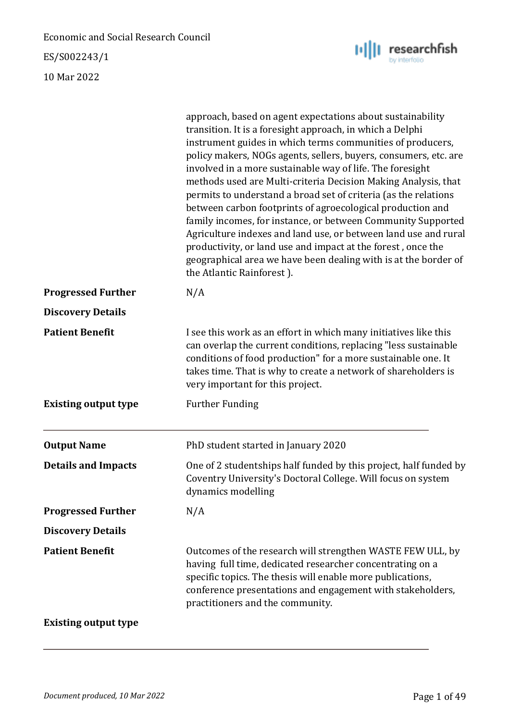ES/S002243/1

10 Mar 2022



researchfish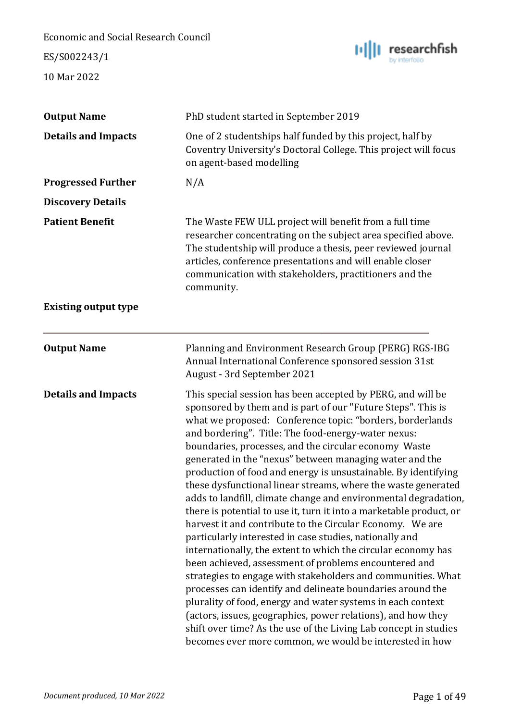ES/S002243/1



| <b>Output Name</b>          | PhD student started in September 2019                                                                                                                                                                                                                                                                                                                                                                                                                                                                                                                                                                                                                                                                                                                                                                                                                                                                                                                                                                                                                                                                                                                                                                                                                                                          |
|-----------------------------|------------------------------------------------------------------------------------------------------------------------------------------------------------------------------------------------------------------------------------------------------------------------------------------------------------------------------------------------------------------------------------------------------------------------------------------------------------------------------------------------------------------------------------------------------------------------------------------------------------------------------------------------------------------------------------------------------------------------------------------------------------------------------------------------------------------------------------------------------------------------------------------------------------------------------------------------------------------------------------------------------------------------------------------------------------------------------------------------------------------------------------------------------------------------------------------------------------------------------------------------------------------------------------------------|
| <b>Details and Impacts</b>  | One of 2 studentships half funded by this project, half by<br>Coventry University's Doctoral College. This project will focus<br>on agent-based modelling                                                                                                                                                                                                                                                                                                                                                                                                                                                                                                                                                                                                                                                                                                                                                                                                                                                                                                                                                                                                                                                                                                                                      |
| <b>Progressed Further</b>   | N/A                                                                                                                                                                                                                                                                                                                                                                                                                                                                                                                                                                                                                                                                                                                                                                                                                                                                                                                                                                                                                                                                                                                                                                                                                                                                                            |
| <b>Discovery Details</b>    |                                                                                                                                                                                                                                                                                                                                                                                                                                                                                                                                                                                                                                                                                                                                                                                                                                                                                                                                                                                                                                                                                                                                                                                                                                                                                                |
| <b>Patient Benefit</b>      | The Waste FEW ULL project will benefit from a full time<br>researcher concentrating on the subject area specified above.<br>The studentship will produce a thesis, peer reviewed journal<br>articles, conference presentations and will enable closer<br>communication with stakeholders, practitioners and the<br>community.                                                                                                                                                                                                                                                                                                                                                                                                                                                                                                                                                                                                                                                                                                                                                                                                                                                                                                                                                                  |
| <b>Existing output type</b> |                                                                                                                                                                                                                                                                                                                                                                                                                                                                                                                                                                                                                                                                                                                                                                                                                                                                                                                                                                                                                                                                                                                                                                                                                                                                                                |
| <b>Output Name</b>          | Planning and Environment Research Group (PERG) RGS-IBG<br>Annual International Conference sponsored session 31st<br>August - 3rd September 2021                                                                                                                                                                                                                                                                                                                                                                                                                                                                                                                                                                                                                                                                                                                                                                                                                                                                                                                                                                                                                                                                                                                                                |
| <b>Details and Impacts</b>  | This special session has been accepted by PERG, and will be<br>sponsored by them and is part of our "Future Steps". This is<br>what we proposed: Conference topic: "borders, borderlands<br>and bordering". Title: The food-energy-water nexus:<br>boundaries, processes, and the circular economy Waste<br>generated in the "nexus" between managing water and the<br>production of food and energy is unsustainable. By identifying<br>these dysfunctional linear streams, where the waste generated<br>adds to landfill, climate change and environmental degradation,<br>there is potential to use it, turn it into a marketable product, or<br>harvest it and contribute to the Circular Economy. We are<br>particularly interested in case studies, nationally and<br>internationally, the extent to which the circular economy has<br>been achieved, assessment of problems encountered and<br>strategies to engage with stakeholders and communities. What<br>processes can identify and delineate boundaries around the<br>plurality of food, energy and water systems in each context<br>(actors, issues, geographies, power relations), and how they<br>shift over time? As the use of the Living Lab concept in studies<br>becomes ever more common, we would be interested in how |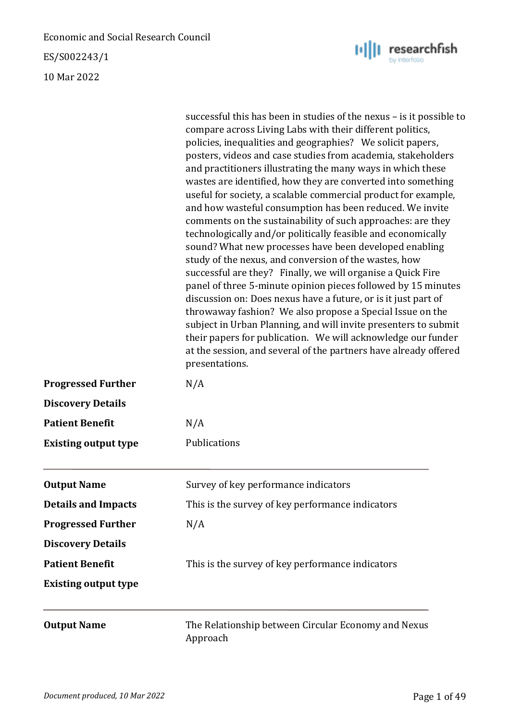ES/S002243/1

10 Mar 2022

|                             | successful this has been in studies of the nexus – is it possible to<br>compare across Living Labs with their different politics,<br>policies, inequalities and geographies? We solicit papers,                                                                                                                                                                                                                                                                                                                                                                                                                                                                                                                                                                                                                                                                                                                                                                                                                                                                     |
|-----------------------------|---------------------------------------------------------------------------------------------------------------------------------------------------------------------------------------------------------------------------------------------------------------------------------------------------------------------------------------------------------------------------------------------------------------------------------------------------------------------------------------------------------------------------------------------------------------------------------------------------------------------------------------------------------------------------------------------------------------------------------------------------------------------------------------------------------------------------------------------------------------------------------------------------------------------------------------------------------------------------------------------------------------------------------------------------------------------|
|                             | posters, videos and case studies from academia, stakeholders<br>and practitioners illustrating the many ways in which these<br>wastes are identified, how they are converted into something<br>useful for society, a scalable commercial product for example,<br>and how wasteful consumption has been reduced. We invite<br>comments on the sustainability of such approaches: are they<br>technologically and/or politically feasible and economically<br>sound? What new processes have been developed enabling<br>study of the nexus, and conversion of the wastes, how<br>successful are they? Finally, we will organise a Quick Fire<br>panel of three 5-minute opinion pieces followed by 15 minutes<br>discussion on: Does nexus have a future, or is it just part of<br>throwaway fashion? We also propose a Special Issue on the<br>subject in Urban Planning, and will invite presenters to submit<br>their papers for publication. We will acknowledge our funder<br>at the session, and several of the partners have already offered<br>presentations. |
| <b>Progressed Further</b>   | N/A                                                                                                                                                                                                                                                                                                                                                                                                                                                                                                                                                                                                                                                                                                                                                                                                                                                                                                                                                                                                                                                                 |
| <b>Discovery Details</b>    |                                                                                                                                                                                                                                                                                                                                                                                                                                                                                                                                                                                                                                                                                                                                                                                                                                                                                                                                                                                                                                                                     |
| <b>Patient Benefit</b>      | N/A                                                                                                                                                                                                                                                                                                                                                                                                                                                                                                                                                                                                                                                                                                                                                                                                                                                                                                                                                                                                                                                                 |
| <b>Existing output type</b> | Publications                                                                                                                                                                                                                                                                                                                                                                                                                                                                                                                                                                                                                                                                                                                                                                                                                                                                                                                                                                                                                                                        |
| <b>Output Name</b>          | Survey of key performance indicators                                                                                                                                                                                                                                                                                                                                                                                                                                                                                                                                                                                                                                                                                                                                                                                                                                                                                                                                                                                                                                |
| <b>Details and Impacts</b>  | This is the survey of key performance indicators                                                                                                                                                                                                                                                                                                                                                                                                                                                                                                                                                                                                                                                                                                                                                                                                                                                                                                                                                                                                                    |
| <b>Progressed Further</b>   | N/A                                                                                                                                                                                                                                                                                                                                                                                                                                                                                                                                                                                                                                                                                                                                                                                                                                                                                                                                                                                                                                                                 |
| <b>Discovery Details</b>    |                                                                                                                                                                                                                                                                                                                                                                                                                                                                                                                                                                                                                                                                                                                                                                                                                                                                                                                                                                                                                                                                     |
| <b>Patient Benefit</b>      | This is the survey of key performance indicators                                                                                                                                                                                                                                                                                                                                                                                                                                                                                                                                                                                                                                                                                                                                                                                                                                                                                                                                                                                                                    |
| <b>Existing output type</b> |                                                                                                                                                                                                                                                                                                                                                                                                                                                                                                                                                                                                                                                                                                                                                                                                                                                                                                                                                                                                                                                                     |
| <b>Output Name</b>          | The Relationship between Circular Economy and Nexus<br>Approach                                                                                                                                                                                                                                                                                                                                                                                                                                                                                                                                                                                                                                                                                                                                                                                                                                                                                                                                                                                                     |

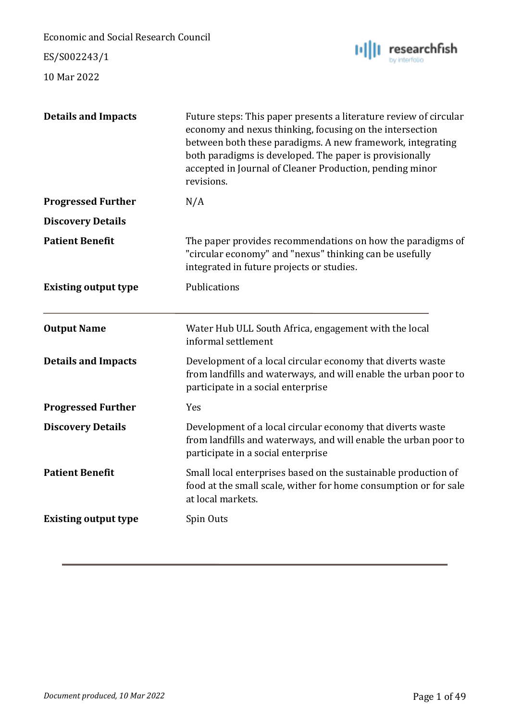ES/S002243/1



| <b>Details and Impacts</b>  | Future steps: This paper presents a literature review of circular<br>economy and nexus thinking, focusing on the intersection<br>between both these paradigms. A new framework, integrating<br>both paradigms is developed. The paper is provisionally<br>accepted in Journal of Cleaner Production, pending minor<br>revisions. |
|-----------------------------|----------------------------------------------------------------------------------------------------------------------------------------------------------------------------------------------------------------------------------------------------------------------------------------------------------------------------------|
| <b>Progressed Further</b>   | N/A                                                                                                                                                                                                                                                                                                                              |
| <b>Discovery Details</b>    |                                                                                                                                                                                                                                                                                                                                  |
| <b>Patient Benefit</b>      | The paper provides recommendations on how the paradigms of<br>"circular economy" and "nexus" thinking can be usefully<br>integrated in future projects or studies.                                                                                                                                                               |
| <b>Existing output type</b> | Publications                                                                                                                                                                                                                                                                                                                     |
| <b>Output Name</b>          | Water Hub ULL South Africa, engagement with the local<br>informal settlement                                                                                                                                                                                                                                                     |
| <b>Details and Impacts</b>  | Development of a local circular economy that diverts waste<br>from landfills and waterways, and will enable the urban poor to<br>participate in a social enterprise                                                                                                                                                              |
| <b>Progressed Further</b>   | Yes                                                                                                                                                                                                                                                                                                                              |
| <b>Discovery Details</b>    | Development of a local circular economy that diverts waste<br>from landfills and waterways, and will enable the urban poor to<br>participate in a social enterprise                                                                                                                                                              |
| <b>Patient Benefit</b>      | Small local enterprises based on the sustainable production of<br>food at the small scale, wither for home consumption or for sale<br>at local markets.                                                                                                                                                                          |
| <b>Existing output type</b> | Spin Outs                                                                                                                                                                                                                                                                                                                        |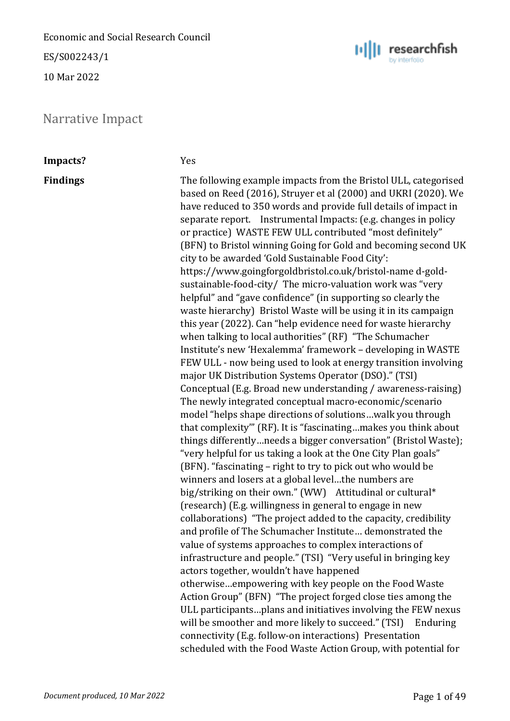ES/S002243/1

10 Mar 2022

### <span id="page-14-0"></span>Narrative Impact



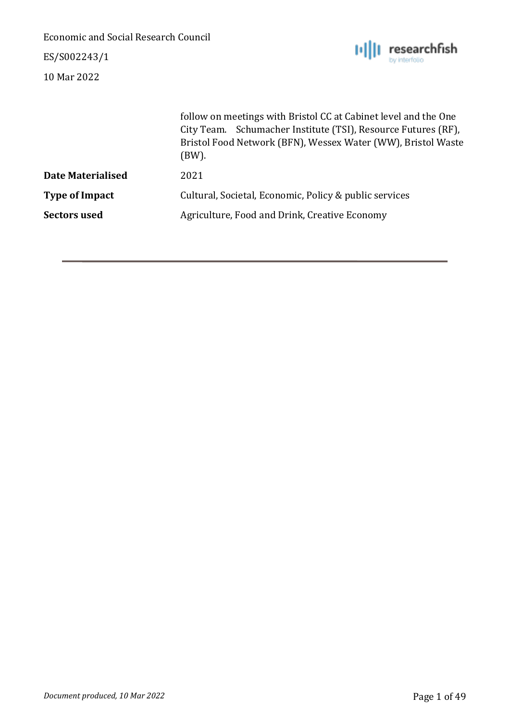ES/S002243/1



| follow on meetings with Bristol CC at Cabinet level and the One<br>City Team. Schumacher Institute (TSI), Resource Futures (RF),<br>Bristol Food Network (BFN), Wessex Water (WW), Bristol Waste<br>(BW). |
|-----------------------------------------------------------------------------------------------------------------------------------------------------------------------------------------------------------|
| 2021                                                                                                                                                                                                      |
| Cultural, Societal, Economic, Policy & public services                                                                                                                                                    |
| Agriculture, Food and Drink, Creative Economy                                                                                                                                                             |
|                                                                                                                                                                                                           |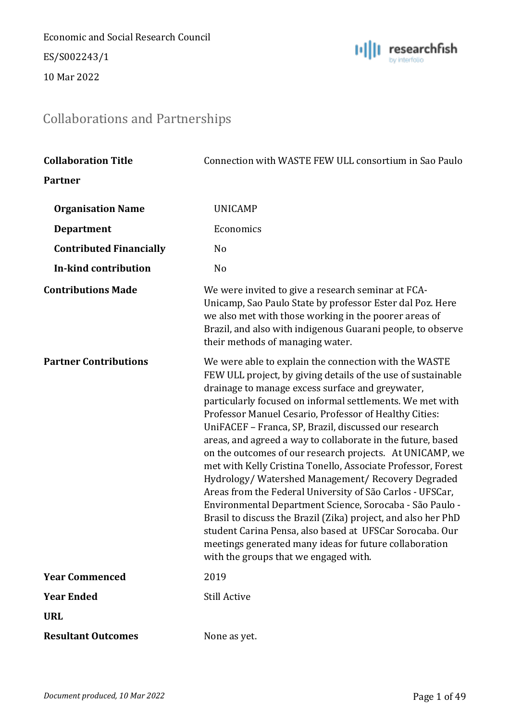Economic and Social Research Council ES/S002243/1

10 Mar 2022



# <span id="page-16-0"></span>Collaborations and Partnerships

| <b>Collaboration Title</b>     | Connection with WASTE FEW ULL consortium in Sao Paulo                                                                                                                                                                                                                                                                                                                                                                                                                                                                                                                                                                                                                                                                                                                                                                                                                                                                                                             |
|--------------------------------|-------------------------------------------------------------------------------------------------------------------------------------------------------------------------------------------------------------------------------------------------------------------------------------------------------------------------------------------------------------------------------------------------------------------------------------------------------------------------------------------------------------------------------------------------------------------------------------------------------------------------------------------------------------------------------------------------------------------------------------------------------------------------------------------------------------------------------------------------------------------------------------------------------------------------------------------------------------------|
| <b>Partner</b>                 |                                                                                                                                                                                                                                                                                                                                                                                                                                                                                                                                                                                                                                                                                                                                                                                                                                                                                                                                                                   |
| <b>Organisation Name</b>       | <b>UNICAMP</b>                                                                                                                                                                                                                                                                                                                                                                                                                                                                                                                                                                                                                                                                                                                                                                                                                                                                                                                                                    |
| <b>Department</b>              | Economics                                                                                                                                                                                                                                                                                                                                                                                                                                                                                                                                                                                                                                                                                                                                                                                                                                                                                                                                                         |
| <b>Contributed Financially</b> | N <sub>o</sub>                                                                                                                                                                                                                                                                                                                                                                                                                                                                                                                                                                                                                                                                                                                                                                                                                                                                                                                                                    |
| In-kind contribution           | No                                                                                                                                                                                                                                                                                                                                                                                                                                                                                                                                                                                                                                                                                                                                                                                                                                                                                                                                                                |
| <b>Contributions Made</b>      | We were invited to give a research seminar at FCA-<br>Unicamp, Sao Paulo State by professor Ester dal Poz. Here<br>we also met with those working in the poorer areas of<br>Brazil, and also with indigenous Guarani people, to observe<br>their methods of managing water.                                                                                                                                                                                                                                                                                                                                                                                                                                                                                                                                                                                                                                                                                       |
| <b>Partner Contributions</b>   | We were able to explain the connection with the WASTE<br>FEW ULL project, by giving details of the use of sustainable<br>drainage to manage excess surface and greywater,<br>particularly focused on informal settlements. We met with<br>Professor Manuel Cesario, Professor of Healthy Cities:<br>UniFACEF - Franca, SP, Brazil, discussed our research<br>areas, and agreed a way to collaborate in the future, based<br>on the outcomes of our research projects. At UNICAMP, we<br>met with Kelly Cristina Tonello, Associate Professor, Forest<br>Hydrology/Watershed Management/Recovery Degraded<br>Areas from the Federal University of São Carlos - UFSCar,<br>Environmental Department Science, Sorocaba - São Paulo -<br>Brasil to discuss the Brazil (Zika) project, and also her PhD<br>student Carina Pensa, also based at UFSCar Sorocaba. Our<br>meetings generated many ideas for future collaboration<br>with the groups that we engaged with. |
| <b>Year Commenced</b>          | 2019                                                                                                                                                                                                                                                                                                                                                                                                                                                                                                                                                                                                                                                                                                                                                                                                                                                                                                                                                              |
| <b>Year Ended</b>              | <b>Still Active</b>                                                                                                                                                                                                                                                                                                                                                                                                                                                                                                                                                                                                                                                                                                                                                                                                                                                                                                                                               |
| <b>URL</b>                     |                                                                                                                                                                                                                                                                                                                                                                                                                                                                                                                                                                                                                                                                                                                                                                                                                                                                                                                                                                   |
| <b>Resultant Outcomes</b>      | None as yet.                                                                                                                                                                                                                                                                                                                                                                                                                                                                                                                                                                                                                                                                                                                                                                                                                                                                                                                                                      |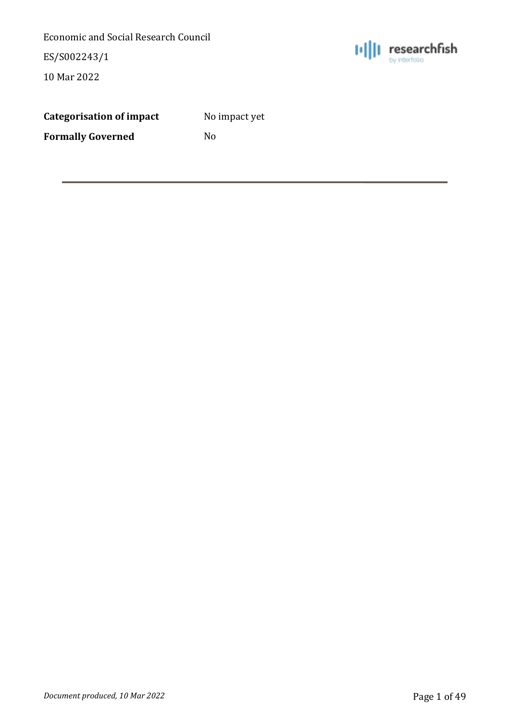ES/S002243/1

10 Mar 2022



| <b>Categorisation of impact</b> |  |  |
|---------------------------------|--|--|
|                                 |  |  |

**Categorisation of impact** No impact yet

**Formally Governed** No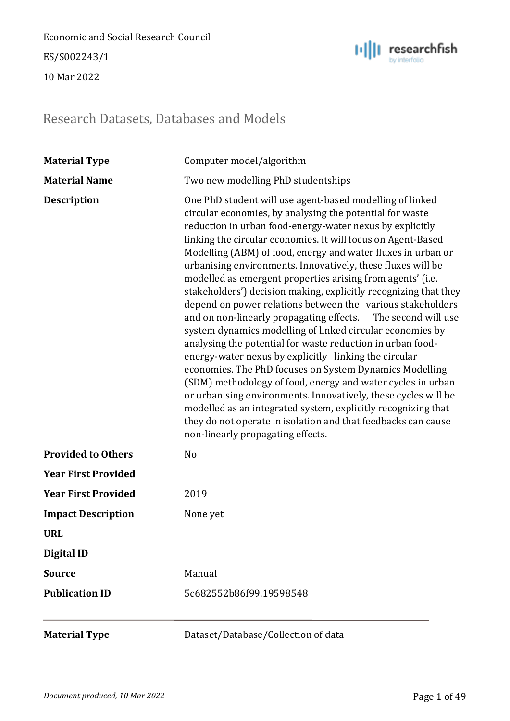ES/S002243/1

10 Mar 2022



### <span id="page-18-0"></span>Research Datasets, Databases and Models

| <b>Material Type</b>       | Computer model/algorithm                                                                                                                                                                                                                                                                                                                                                                                                                                                                                                                                                                                                                                                                                                                                                                                                                                                                                                                                                                                                                                                                                                                                                                                  |
|----------------------------|-----------------------------------------------------------------------------------------------------------------------------------------------------------------------------------------------------------------------------------------------------------------------------------------------------------------------------------------------------------------------------------------------------------------------------------------------------------------------------------------------------------------------------------------------------------------------------------------------------------------------------------------------------------------------------------------------------------------------------------------------------------------------------------------------------------------------------------------------------------------------------------------------------------------------------------------------------------------------------------------------------------------------------------------------------------------------------------------------------------------------------------------------------------------------------------------------------------|
| <b>Material Name</b>       | Two new modelling PhD studentships                                                                                                                                                                                                                                                                                                                                                                                                                                                                                                                                                                                                                                                                                                                                                                                                                                                                                                                                                                                                                                                                                                                                                                        |
| <b>Description</b>         | One PhD student will use agent-based modelling of linked<br>circular economies, by analysing the potential for waste<br>reduction in urban food-energy-water nexus by explicitly<br>linking the circular economies. It will focus on Agent-Based<br>Modelling (ABM) of food, energy and water fluxes in urban or<br>urbanising environments. Innovatively, these fluxes will be<br>modelled as emergent properties arising from agents' (i.e.<br>stakeholders') decision making, explicitly recognizing that they<br>depend on power relations between the various stakeholders<br>and on non-linearly propagating effects.<br>The second will use<br>system dynamics modelling of linked circular economies by<br>analysing the potential for waste reduction in urban food-<br>energy-water nexus by explicitly linking the circular<br>economies. The PhD focuses on System Dynamics Modelling<br>(SDM) methodology of food, energy and water cycles in urban<br>or urbanising environments. Innovatively, these cycles will be<br>modelled as an integrated system, explicitly recognizing that<br>they do not operate in isolation and that feedbacks can cause<br>non-linearly propagating effects. |
| <b>Provided to Others</b>  | N <sub>o</sub>                                                                                                                                                                                                                                                                                                                                                                                                                                                                                                                                                                                                                                                                                                                                                                                                                                                                                                                                                                                                                                                                                                                                                                                            |
| <b>Year First Provided</b> |                                                                                                                                                                                                                                                                                                                                                                                                                                                                                                                                                                                                                                                                                                                                                                                                                                                                                                                                                                                                                                                                                                                                                                                                           |
| <b>Year First Provided</b> | 2019                                                                                                                                                                                                                                                                                                                                                                                                                                                                                                                                                                                                                                                                                                                                                                                                                                                                                                                                                                                                                                                                                                                                                                                                      |
| <b>Impact Description</b>  | None yet                                                                                                                                                                                                                                                                                                                                                                                                                                                                                                                                                                                                                                                                                                                                                                                                                                                                                                                                                                                                                                                                                                                                                                                                  |
| <b>URL</b>                 |                                                                                                                                                                                                                                                                                                                                                                                                                                                                                                                                                                                                                                                                                                                                                                                                                                                                                                                                                                                                                                                                                                                                                                                                           |
| <b>Digital ID</b>          |                                                                                                                                                                                                                                                                                                                                                                                                                                                                                                                                                                                                                                                                                                                                                                                                                                                                                                                                                                                                                                                                                                                                                                                                           |
| <b>Source</b>              | Manual                                                                                                                                                                                                                                                                                                                                                                                                                                                                                                                                                                                                                                                                                                                                                                                                                                                                                                                                                                                                                                                                                                                                                                                                    |
| <b>Publication ID</b>      | 5c682552b86f99.19598548                                                                                                                                                                                                                                                                                                                                                                                                                                                                                                                                                                                                                                                                                                                                                                                                                                                                                                                                                                                                                                                                                                                                                                                   |
| <b>Material Type</b>       | Dataset/Database/Collection of data                                                                                                                                                                                                                                                                                                                                                                                                                                                                                                                                                                                                                                                                                                                                                                                                                                                                                                                                                                                                                                                                                                                                                                       |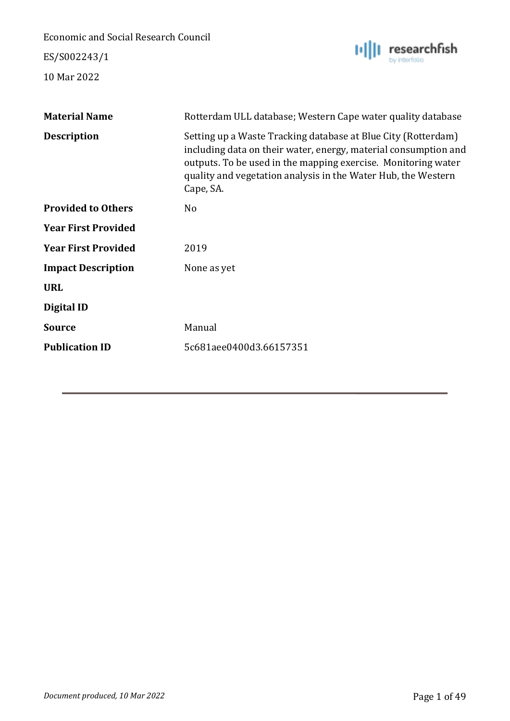ES/S002243/1



| <b>Material Name</b>       | Rotterdam ULL database; Western Cape water quality database                                                                                                                                                                                                                     |
|----------------------------|---------------------------------------------------------------------------------------------------------------------------------------------------------------------------------------------------------------------------------------------------------------------------------|
| <b>Description</b>         | Setting up a Waste Tracking database at Blue City (Rotterdam)<br>including data on their water, energy, material consumption and<br>outputs. To be used in the mapping exercise. Monitoring water<br>quality and vegetation analysis in the Water Hub, the Western<br>Cape, SA. |
| <b>Provided to Others</b>  | N <sub>o</sub>                                                                                                                                                                                                                                                                  |
| <b>Year First Provided</b> |                                                                                                                                                                                                                                                                                 |
| <b>Year First Provided</b> | 2019                                                                                                                                                                                                                                                                            |
| <b>Impact Description</b>  | None as yet                                                                                                                                                                                                                                                                     |
| <b>URL</b>                 |                                                                                                                                                                                                                                                                                 |
| Digital ID                 |                                                                                                                                                                                                                                                                                 |
| <b>Source</b>              | Manual                                                                                                                                                                                                                                                                          |
| <b>Publication ID</b>      | 5c681aee0400d3.66157351                                                                                                                                                                                                                                                         |
|                            |                                                                                                                                                                                                                                                                                 |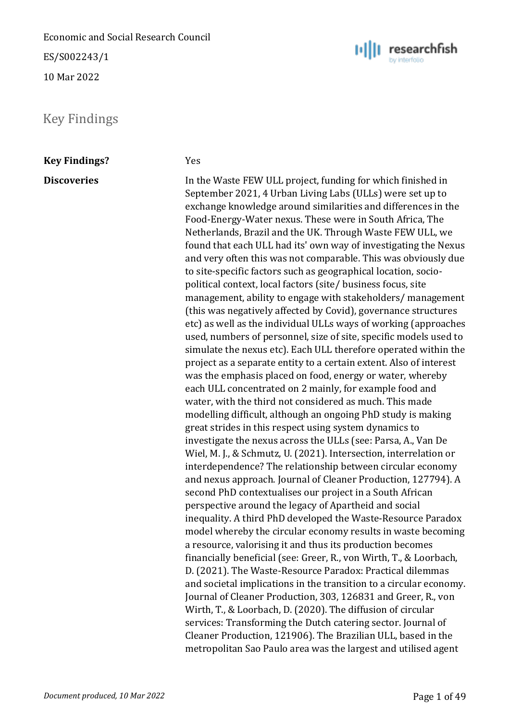ES/S002243/1

10 Mar 2022

<span id="page-20-0"></span>Key Findings

**Key Findings?** Yes

**Discoveries** In the Waste FEW ULL project, funding for which finished in September 2021, 4 Urban Living Labs (ULLs) were set up to exchange knowledge around similarities and differences in the Food-Energy-Water nexus. These were in South Africa, The Netherlands, Brazil and the UK. Through Waste FEW ULL, we found that each ULL had its' own way of investigating the Nexus and very often this was not comparable. This was obviously due to site-specific factors such as geographical location, sociopolitical context, local factors (site/ business focus, site management, ability to engage with stakeholders/ management (this was negatively affected by Covid), governance structures etc) as well as the individual ULLs ways of working (approaches used, numbers of personnel, size of site, specific models used to simulate the nexus etc). Each ULL therefore operated within the project as a separate entity to a certain extent. Also of interest was the emphasis placed on food, energy or water, whereby each ULL concentrated on 2 mainly, for example food and water, with the third not considered as much. This made modelling difficult, although an ongoing PhD study is making great strides in this respect using system dynamics to investigate the nexus across the ULLs (see: Parsa, A., Van De Wiel, M. J., & Schmutz, U. (2021). Intersection, interrelation or interdependence? The relationship between circular economy and nexus approach. Journal of Cleaner Production, 127794). A second PhD contextualises our project in a South African perspective around the legacy of Apartheid and social inequality. A third PhD developed the Waste-Resource Paradox model whereby the circular economy results in waste becoming a resource, valorising it and thus its production becomes financially beneficial (see: Greer, R., von Wirth, T., & Loorbach, D. (2021). The Waste-Resource Paradox: Practical dilemmas and societal implications in the transition to a circular economy. Journal of Cleaner Production, 303, 126831 and Greer, R., von Wirth, T., & Loorbach, D. (2020). The diffusion of circular services: Transforming the Dutch catering sector. Journal of Cleaner Production, 121906). The Brazilian ULL, based in the metropolitan Sao Paulo area was the largest and utilised agent

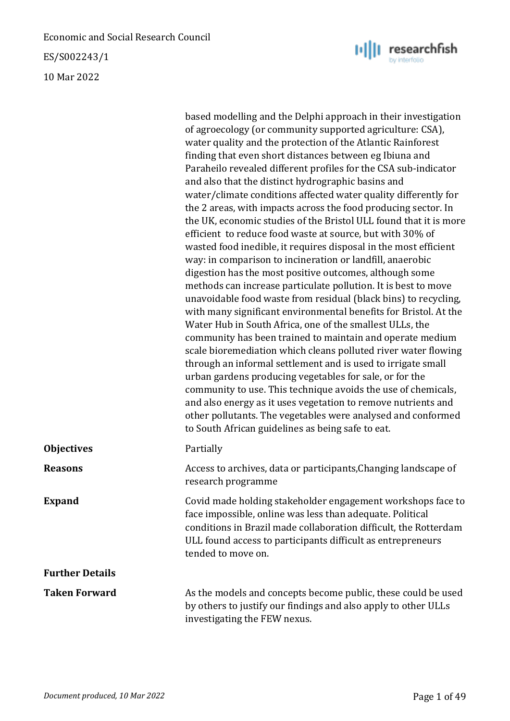ES/S002243/1

10 Mar 2022

|                        | based modelling and the Delphi approach in their investigation<br>of agroecology (or community supported agriculture: CSA),<br>water quality and the protection of the Atlantic Rainforest<br>finding that even short distances between eg Ibiuna and<br>Paraheilo revealed different profiles for the CSA sub-indicator<br>and also that the distinct hydrographic basins and<br>water/climate conditions affected water quality differently for<br>the 2 areas, with impacts across the food producing sector. In<br>the UK, economic studies of the Bristol ULL found that it is more<br>efficient to reduce food waste at source, but with 30% of<br>wasted food inedible, it requires disposal in the most efficient<br>way: in comparison to incineration or landfill, anaerobic<br>digestion has the most positive outcomes, although some<br>methods can increase particulate pollution. It is best to move<br>unavoidable food waste from residual (black bins) to recycling,<br>with many significant environmental benefits for Bristol. At the<br>Water Hub in South Africa, one of the smallest ULLs, the<br>community has been trained to maintain and operate medium<br>scale bioremediation which cleans polluted river water flowing<br>through an informal settlement and is used to irrigate small<br>urban gardens producing vegetables for sale, or for the<br>community to use. This technique avoids the use of chemicals,<br>and also energy as it uses vegetation to remove nutrients and<br>other pollutants. The vegetables were analysed and conformed<br>to South African guidelines as being safe to eat. |
|------------------------|-----------------------------------------------------------------------------------------------------------------------------------------------------------------------------------------------------------------------------------------------------------------------------------------------------------------------------------------------------------------------------------------------------------------------------------------------------------------------------------------------------------------------------------------------------------------------------------------------------------------------------------------------------------------------------------------------------------------------------------------------------------------------------------------------------------------------------------------------------------------------------------------------------------------------------------------------------------------------------------------------------------------------------------------------------------------------------------------------------------------------------------------------------------------------------------------------------------------------------------------------------------------------------------------------------------------------------------------------------------------------------------------------------------------------------------------------------------------------------------------------------------------------------------------------------------------------------------------------------------------------------------------|
| <b>Objectives</b>      | Partially                                                                                                                                                                                                                                                                                                                                                                                                                                                                                                                                                                                                                                                                                                                                                                                                                                                                                                                                                                                                                                                                                                                                                                                                                                                                                                                                                                                                                                                                                                                                                                                                                               |
| <b>Reasons</b>         | Access to archives, data or participants, Changing landscape of<br>research programme                                                                                                                                                                                                                                                                                                                                                                                                                                                                                                                                                                                                                                                                                                                                                                                                                                                                                                                                                                                                                                                                                                                                                                                                                                                                                                                                                                                                                                                                                                                                                   |
| <b>Expand</b>          | Covid made holding stakeholder engagement workshops face to<br>face impossible, online was less than adequate. Political<br>conditions in Brazil made collaboration difficult, the Rotterdam<br>ULL found access to participants difficult as entrepreneurs<br>tended to move on.                                                                                                                                                                                                                                                                                                                                                                                                                                                                                                                                                                                                                                                                                                                                                                                                                                                                                                                                                                                                                                                                                                                                                                                                                                                                                                                                                       |
| <b>Further Details</b> |                                                                                                                                                                                                                                                                                                                                                                                                                                                                                                                                                                                                                                                                                                                                                                                                                                                                                                                                                                                                                                                                                                                                                                                                                                                                                                                                                                                                                                                                                                                                                                                                                                         |

Taken Forward **As the models and concepts become public, these could be used** by others to justify our findings and also apply to other ULLs investigating the FEW nexus.

 $||\cdot||$  researchfish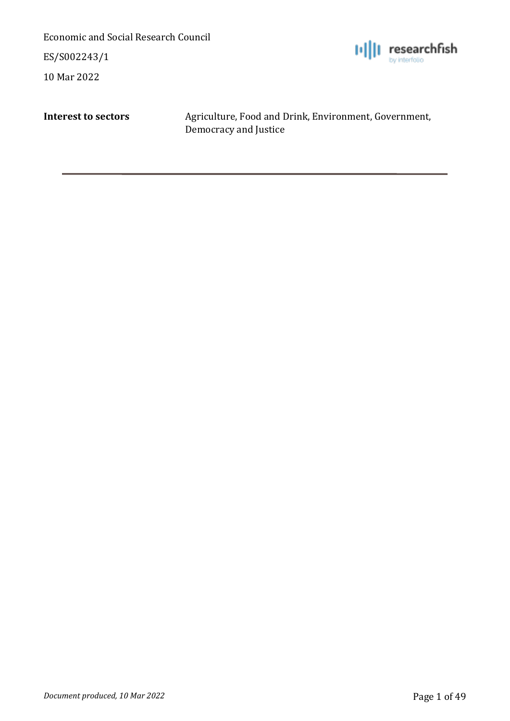ES/S002243/1

10 Mar 2022



**Interest to sectors** Agriculture, Food and Drink, Environment, Government, Democracy and Justice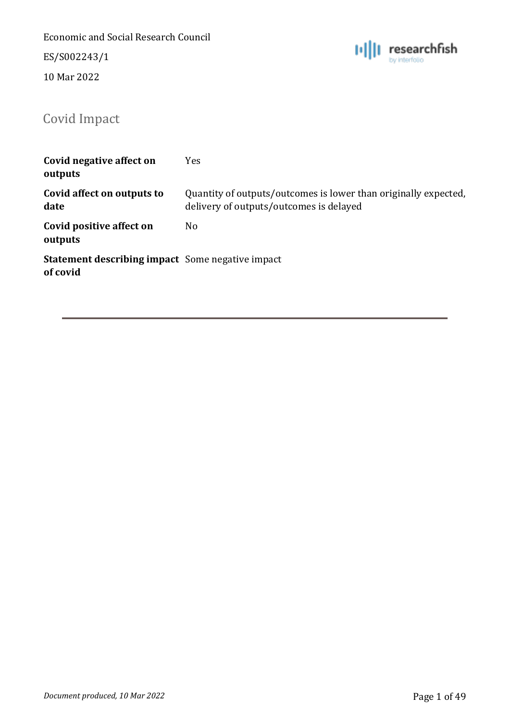ES/S002243/1

10 Mar 2022



# <span id="page-23-0"></span>Covid Impact

| Covid negative affect on<br>outputs                                 | Yes                                                                                                        |
|---------------------------------------------------------------------|------------------------------------------------------------------------------------------------------------|
| Covid affect on outputs to<br>date                                  | Quantity of outputs/outcomes is lower than originally expected,<br>delivery of outputs/outcomes is delayed |
| Covid positive affect on<br>outputs                                 | No                                                                                                         |
| <b>Statement describing impact</b> Some negative impact<br>of covid |                                                                                                            |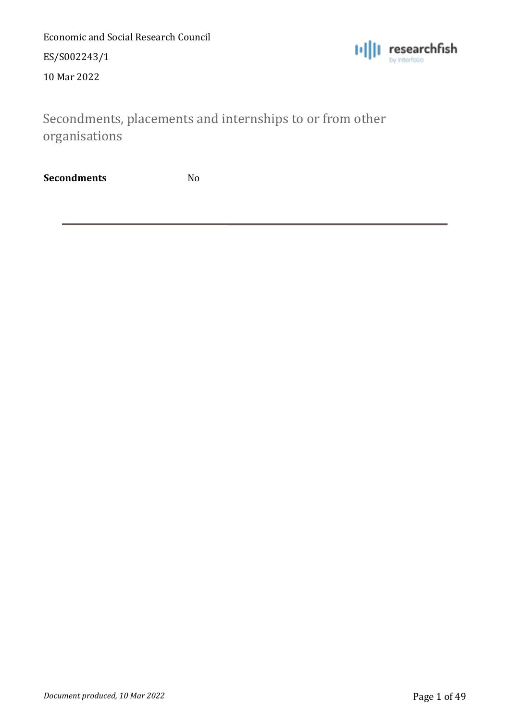ES/S002243/1

10 Mar 2022



<span id="page-24-0"></span>Secondments, placements and internships to or from other organisations

**Secondments** No

*Document produced, 10 Mar 2022* Page 1 of 49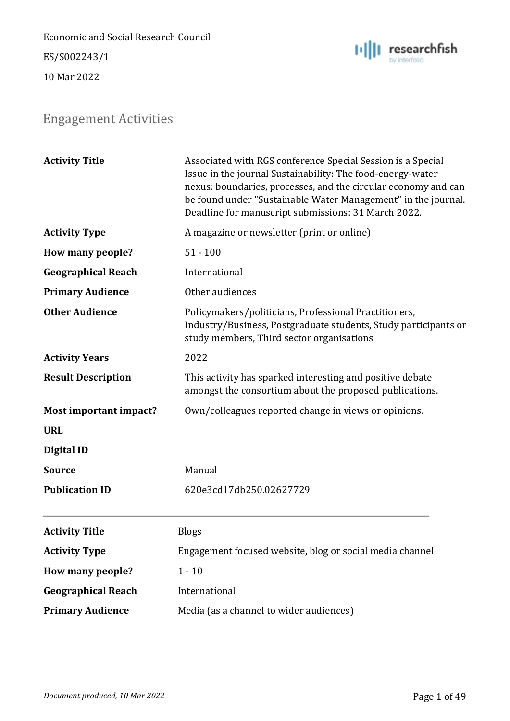Economic and Social Research Council ES/S002243/1

10 Mar 2022



## <span id="page-25-0"></span>Engagement Activities

| <b>Activity Title</b>     | Associated with RGS conference Special Session is a Special<br>Issue in the journal Sustainability: The food-energy-water<br>nexus: boundaries, processes, and the circular economy and can<br>be found under "Sustainable Water Management" in the journal.<br>Deadline for manuscript submissions: 31 March 2022. |
|---------------------------|---------------------------------------------------------------------------------------------------------------------------------------------------------------------------------------------------------------------------------------------------------------------------------------------------------------------|
| <b>Activity Type</b>      | A magazine or newsletter (print or online)                                                                                                                                                                                                                                                                          |
| How many people?          | $51 - 100$                                                                                                                                                                                                                                                                                                          |
| <b>Geographical Reach</b> | International                                                                                                                                                                                                                                                                                                       |
| <b>Primary Audience</b>   | Other audiences                                                                                                                                                                                                                                                                                                     |
| <b>Other Audience</b>     | Policymakers/politicians, Professional Practitioners,<br>Industry/Business, Postgraduate students, Study participants or<br>study members, Third sector organisations                                                                                                                                               |
| <b>Activity Years</b>     | 2022                                                                                                                                                                                                                                                                                                                |
| <b>Result Description</b> | This activity has sparked interesting and positive debate<br>amongst the consortium about the proposed publications.                                                                                                                                                                                                |
| Most important impact?    | Own/colleagues reported change in views or opinions.                                                                                                                                                                                                                                                                |
| <b>URL</b>                |                                                                                                                                                                                                                                                                                                                     |
| Digital ID                |                                                                                                                                                                                                                                                                                                                     |
| <b>Source</b>             | Manual                                                                                                                                                                                                                                                                                                              |
| <b>Publication ID</b>     | 620e3cd17db250.02627729                                                                                                                                                                                                                                                                                             |
| <b>Activity Title</b>     | <b>Blogs</b>                                                                                                                                                                                                                                                                                                        |
| <b>Activity Type</b>      | Engagement focused website, blog or social media channel                                                                                                                                                                                                                                                            |
| How many people?          | $1 - 10$                                                                                                                                                                                                                                                                                                            |
| <b>Geographical Reach</b> | International                                                                                                                                                                                                                                                                                                       |
| <b>Primary Audience</b>   | Media (as a channel to wider audiences)                                                                                                                                                                                                                                                                             |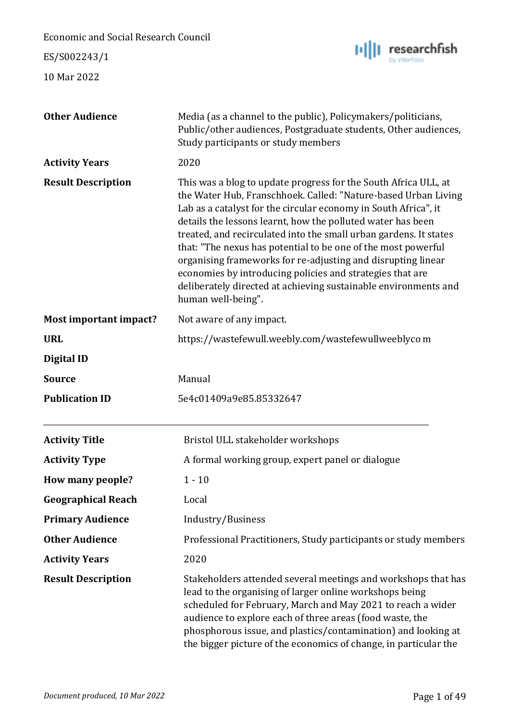Economic and Social Research Council researchfish ES/S002243/1 10 Mar 2022 **Other Audience** Media (as a channel to the public), Policymakers/politicians, Public/other audiences, Postgraduate students, Other audiences, Study participants or study members **Activity Years** 2020 **Result Description** This was a blog to update progress for the South Africa ULL, at the Water Hub, Franschhoek. Called: "Nature-based Urban Living Lab as a catalyst for the circular economy in South Africa", it details the lessons learnt, how the polluted water has been treated, and recirculated into the small urban gardens. It states that: "The nexus has potential to be one of the most powerful organising frameworks for re-adjusting and disrupting linear economies by introducing policies and strategies that are deliberately directed at achieving sustainable environments and human well-being". **Most important impact?** Not aware of any impact. **URL** https://wastefewull.weebly.com/wastefewullweeblyco m **Digital ID Source** Manual **Publication ID** 5e4c01409a9e85.85332647 Activity Title **Bristol ULL** stakeholder workshops **Activity Type** A formal working group, expert panel or dialogue **How many people?** 1 - 10 **Geographical Reach** Local **Primary Audience** Industry/Business **Other Audience** Professional Practitioners, Study participants or study members **Activity Years** 2020 **Result Description** Stakeholders attended several meetings and workshops that has lead to the organising of larger online workshops being scheduled for February, March and May 2021 to reach a wider audience to explore each of three areas (food waste, the phosphorous issue, and plastics/contamination) and looking at the bigger picture of the economics of change, in particular the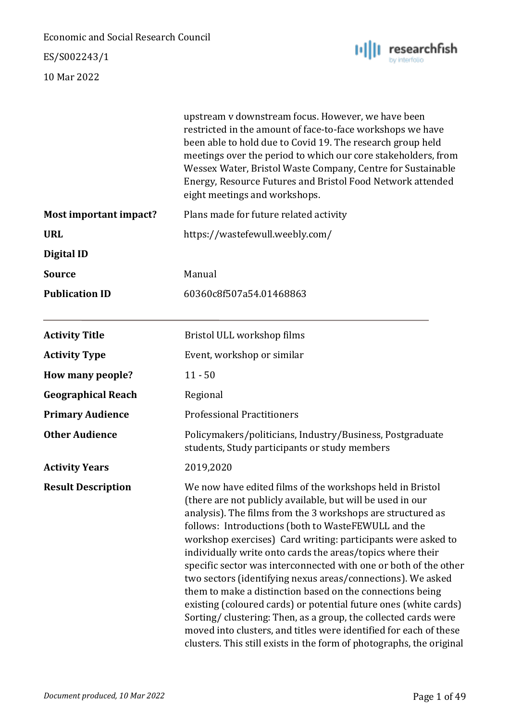ES/S002243/1



|                           | upstream v downstream focus. However, we have been<br>restricted in the amount of face-to-face workshops we have<br>been able to hold due to Covid 19. The research group held<br>meetings over the period to which our core stakeholders, from<br>Wessex Water, Bristol Waste Company, Centre for Sustainable<br>Energy, Resource Futures and Bristol Food Network attended<br>eight meetings and workshops.                                                                                                                                                                                                                                                                                                                                                                                                                                                  |
|---------------------------|----------------------------------------------------------------------------------------------------------------------------------------------------------------------------------------------------------------------------------------------------------------------------------------------------------------------------------------------------------------------------------------------------------------------------------------------------------------------------------------------------------------------------------------------------------------------------------------------------------------------------------------------------------------------------------------------------------------------------------------------------------------------------------------------------------------------------------------------------------------|
| Most important impact?    | Plans made for future related activity                                                                                                                                                                                                                                                                                                                                                                                                                                                                                                                                                                                                                                                                                                                                                                                                                         |
| <b>URL</b>                | https://wastefewull.weebly.com/                                                                                                                                                                                                                                                                                                                                                                                                                                                                                                                                                                                                                                                                                                                                                                                                                                |
| Digital ID                |                                                                                                                                                                                                                                                                                                                                                                                                                                                                                                                                                                                                                                                                                                                                                                                                                                                                |
| <b>Source</b>             | Manual                                                                                                                                                                                                                                                                                                                                                                                                                                                                                                                                                                                                                                                                                                                                                                                                                                                         |
| <b>Publication ID</b>     | 60360c8f507a54.01468863                                                                                                                                                                                                                                                                                                                                                                                                                                                                                                                                                                                                                                                                                                                                                                                                                                        |
| <b>Activity Title</b>     | Bristol ULL workshop films                                                                                                                                                                                                                                                                                                                                                                                                                                                                                                                                                                                                                                                                                                                                                                                                                                     |
| <b>Activity Type</b>      | Event, workshop or similar                                                                                                                                                                                                                                                                                                                                                                                                                                                                                                                                                                                                                                                                                                                                                                                                                                     |
| How many people?          | $11 - 50$                                                                                                                                                                                                                                                                                                                                                                                                                                                                                                                                                                                                                                                                                                                                                                                                                                                      |
| <b>Geographical Reach</b> | Regional                                                                                                                                                                                                                                                                                                                                                                                                                                                                                                                                                                                                                                                                                                                                                                                                                                                       |
| <b>Primary Audience</b>   | <b>Professional Practitioners</b>                                                                                                                                                                                                                                                                                                                                                                                                                                                                                                                                                                                                                                                                                                                                                                                                                              |
| <b>Other Audience</b>     | Policymakers/politicians, Industry/Business, Postgraduate<br>students, Study participants or study members                                                                                                                                                                                                                                                                                                                                                                                                                                                                                                                                                                                                                                                                                                                                                     |
| <b>Activity Years</b>     | 2019,2020                                                                                                                                                                                                                                                                                                                                                                                                                                                                                                                                                                                                                                                                                                                                                                                                                                                      |
| <b>Result Description</b> | We now have edited films of the workshops held in Bristol<br>(there are not publicly available, but will be used in our<br>analysis). The films from the 3 workshops are structured as<br>follows: Introductions (both to WasteFEWULL and the<br>workshop exercises) Card writing: participants were asked to<br>individually write onto cards the areas/topics where their<br>specific sector was interconnected with one or both of the other<br>two sectors (identifying nexus areas/connections). We asked<br>them to make a distinction based on the connections being<br>existing (coloured cards) or potential future ones (white cards)<br>Sorting/clustering: Then, as a group, the collected cards were<br>moved into clusters, and titles were identified for each of these<br>clusters. This still exists in the form of photographs, the original |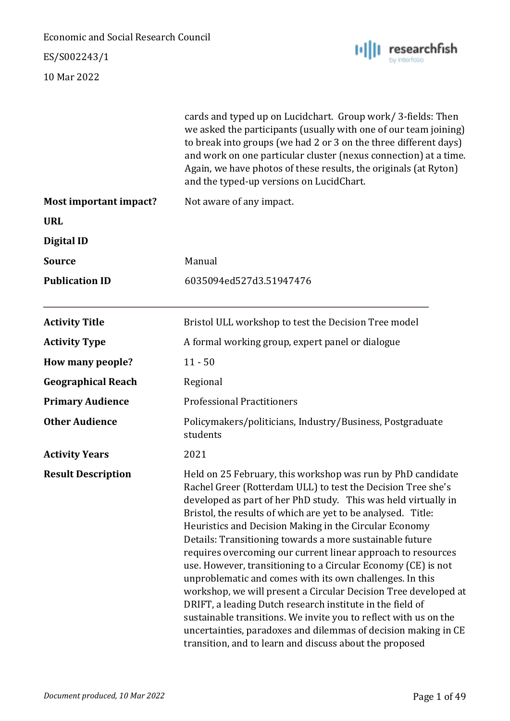### ES/S002243/1



|                           | cards and typed up on Lucidchart. Group work/3-fields: Then<br>we asked the participants (usually with one of our team joining)<br>to break into groups (we had 2 or 3 on the three different days)<br>and work on one particular cluster (nexus connection) at a time.<br>Again, we have photos of these results, the originals (at Ryton)<br>and the typed-up versions on LucidChart.                                                                                                                                                                                                                                                                                                                                                                                                                                                                                                                           |
|---------------------------|-------------------------------------------------------------------------------------------------------------------------------------------------------------------------------------------------------------------------------------------------------------------------------------------------------------------------------------------------------------------------------------------------------------------------------------------------------------------------------------------------------------------------------------------------------------------------------------------------------------------------------------------------------------------------------------------------------------------------------------------------------------------------------------------------------------------------------------------------------------------------------------------------------------------|
| Most important impact?    | Not aware of any impact.                                                                                                                                                                                                                                                                                                                                                                                                                                                                                                                                                                                                                                                                                                                                                                                                                                                                                          |
| <b>URL</b>                |                                                                                                                                                                                                                                                                                                                                                                                                                                                                                                                                                                                                                                                                                                                                                                                                                                                                                                                   |
| <b>Digital ID</b>         |                                                                                                                                                                                                                                                                                                                                                                                                                                                                                                                                                                                                                                                                                                                                                                                                                                                                                                                   |
| <b>Source</b>             | Manual                                                                                                                                                                                                                                                                                                                                                                                                                                                                                                                                                                                                                                                                                                                                                                                                                                                                                                            |
| <b>Publication ID</b>     | 6035094ed527d3.51947476                                                                                                                                                                                                                                                                                                                                                                                                                                                                                                                                                                                                                                                                                                                                                                                                                                                                                           |
| <b>Activity Title</b>     | Bristol ULL workshop to test the Decision Tree model                                                                                                                                                                                                                                                                                                                                                                                                                                                                                                                                                                                                                                                                                                                                                                                                                                                              |
| <b>Activity Type</b>      | A formal working group, expert panel or dialogue                                                                                                                                                                                                                                                                                                                                                                                                                                                                                                                                                                                                                                                                                                                                                                                                                                                                  |
| How many people?          | $11 - 50$                                                                                                                                                                                                                                                                                                                                                                                                                                                                                                                                                                                                                                                                                                                                                                                                                                                                                                         |
| <b>Geographical Reach</b> | Regional                                                                                                                                                                                                                                                                                                                                                                                                                                                                                                                                                                                                                                                                                                                                                                                                                                                                                                          |
| <b>Primary Audience</b>   | <b>Professional Practitioners</b>                                                                                                                                                                                                                                                                                                                                                                                                                                                                                                                                                                                                                                                                                                                                                                                                                                                                                 |
| <b>Other Audience</b>     | Policymakers/politicians, Industry/Business, Postgraduate<br>students                                                                                                                                                                                                                                                                                                                                                                                                                                                                                                                                                                                                                                                                                                                                                                                                                                             |
| <b>Activity Years</b>     | 2021                                                                                                                                                                                                                                                                                                                                                                                                                                                                                                                                                                                                                                                                                                                                                                                                                                                                                                              |
| <b>Result Description</b> | Held on 25 February, this workshop was run by PhD candidate<br>Rachel Greer (Rotterdam ULL) to test the Decision Tree she's<br>developed as part of her PhD study. This was held virtually in<br>Bristol, the results of which are yet to be analysed. Title:<br>Heuristics and Decision Making in the Circular Economy<br>Details: Transitioning towards a more sustainable future<br>requires overcoming our current linear approach to resources<br>use. However, transitioning to a Circular Economy (CE) is not<br>unproblematic and comes with its own challenges. In this<br>workshop, we will present a Circular Decision Tree developed at<br>DRIFT, a leading Dutch research institute in the field of<br>sustainable transitions. We invite you to reflect with us on the<br>uncertainties, paradoxes and dilemmas of decision making in CE<br>transition, and to learn and discuss about the proposed |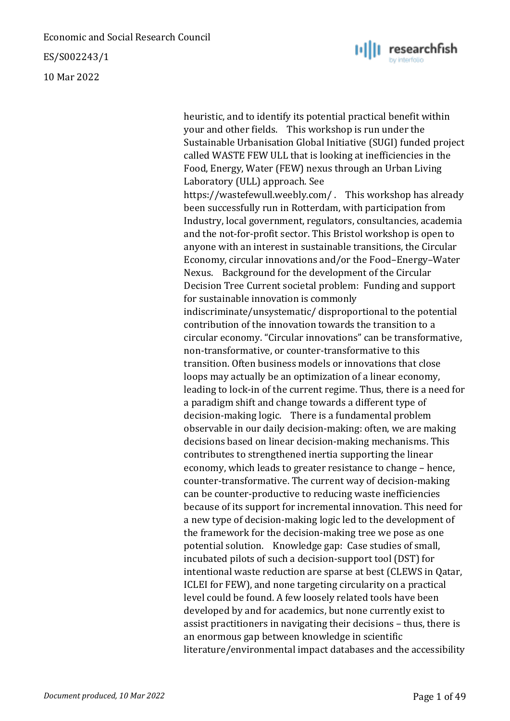ES/S002243/1

10 Mar 2022



heuristic, and to identify its potential practical benefit within your and other fields. This workshop is run under the Sustainable Urbanisation Global Initiative (SUGI) funded project called WASTE FEW ULL that is looking at inefficiencies in the Food, Energy, Water (FEW) nexus through an Urban Living Laboratory (ULL) approach. See https://wastefewull.weebly.com/ . This workshop has already been successfully run in Rotterdam, with participation from Industry, local government, regulators, consultancies, academia and the not-for-profit sector. This Bristol workshop is open to anyone with an interest in sustainable transitions, the Circular Economy, circular innovations and/or the Food–Energy–Water Nexus. Background for the development of the Circular Decision Tree Current societal problem: Funding and support for sustainable innovation is commonly indiscriminate/unsystematic/ disproportional to the potential contribution of the innovation towards the transition to a circular economy. "Circular innovations" can be transformative, non-transformative, or counter-transformative to this transition. Often business models or innovations that close loops may actually be an optimization of a linear economy, leading to lock-in of the current regime. Thus, there is a need for a paradigm shift and change towards a different type of decision-making logic. There is a fundamental problem observable in our daily decision-making: often, we are making decisions based on linear decision-making mechanisms. This contributes to strengthened inertia supporting the linear economy, which leads to greater resistance to change – hence, counter-transformative. The current way of decision-making can be counter-productive to reducing waste inefficiencies because of its support for incremental innovation. This need for a new type of decision-making logic led to the development of the framework for the decision-making tree we pose as one potential solution. Knowledge gap: Case studies of small, incubated pilots of such a decision-support tool (DST) for intentional waste reduction are sparse at best (CLEWS in Qatar, ICLEI for FEW), and none targeting circularity on a practical level could be found. A few loosely related tools have been developed by and for academics, but none currently exist to assist practitioners in navigating their decisions – thus, there is an enormous gap between knowledge in scientific literature/environmental impact databases and the accessibility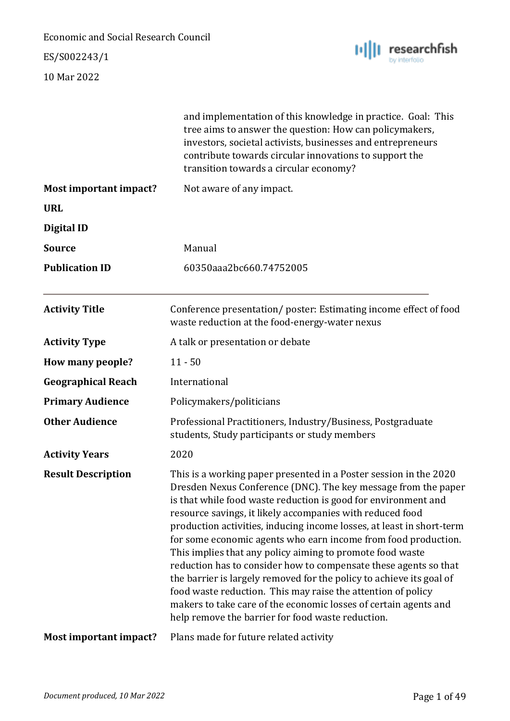### ES/S002243/1



|                           | and implementation of this knowledge in practice. Goal: This<br>tree aims to answer the question: How can policymakers,<br>investors, societal activists, businesses and entrepreneurs<br>contribute towards circular innovations to support the<br>transition towards a circular economy?                                                                                                                                                                                                                                                                                                                                                                                                                                                                                                                      |
|---------------------------|-----------------------------------------------------------------------------------------------------------------------------------------------------------------------------------------------------------------------------------------------------------------------------------------------------------------------------------------------------------------------------------------------------------------------------------------------------------------------------------------------------------------------------------------------------------------------------------------------------------------------------------------------------------------------------------------------------------------------------------------------------------------------------------------------------------------|
| Most important impact?    | Not aware of any impact.                                                                                                                                                                                                                                                                                                                                                                                                                                                                                                                                                                                                                                                                                                                                                                                        |
| <b>URL</b>                |                                                                                                                                                                                                                                                                                                                                                                                                                                                                                                                                                                                                                                                                                                                                                                                                                 |
| <b>Digital ID</b>         |                                                                                                                                                                                                                                                                                                                                                                                                                                                                                                                                                                                                                                                                                                                                                                                                                 |
| <b>Source</b>             | Manual                                                                                                                                                                                                                                                                                                                                                                                                                                                                                                                                                                                                                                                                                                                                                                                                          |
| <b>Publication ID</b>     | 60350aaa2bc660.74752005                                                                                                                                                                                                                                                                                                                                                                                                                                                                                                                                                                                                                                                                                                                                                                                         |
| <b>Activity Title</b>     | Conference presentation/poster: Estimating income effect of food<br>waste reduction at the food-energy-water nexus                                                                                                                                                                                                                                                                                                                                                                                                                                                                                                                                                                                                                                                                                              |
| <b>Activity Type</b>      | A talk or presentation or debate                                                                                                                                                                                                                                                                                                                                                                                                                                                                                                                                                                                                                                                                                                                                                                                |
| How many people?          | $11 - 50$                                                                                                                                                                                                                                                                                                                                                                                                                                                                                                                                                                                                                                                                                                                                                                                                       |
| <b>Geographical Reach</b> | International                                                                                                                                                                                                                                                                                                                                                                                                                                                                                                                                                                                                                                                                                                                                                                                                   |
| <b>Primary Audience</b>   | Policymakers/politicians                                                                                                                                                                                                                                                                                                                                                                                                                                                                                                                                                                                                                                                                                                                                                                                        |
| <b>Other Audience</b>     | Professional Practitioners, Industry/Business, Postgraduate<br>students, Study participants or study members                                                                                                                                                                                                                                                                                                                                                                                                                                                                                                                                                                                                                                                                                                    |
| <b>Activity Years</b>     | 2020                                                                                                                                                                                                                                                                                                                                                                                                                                                                                                                                                                                                                                                                                                                                                                                                            |
| <b>Result Description</b> | This is a working paper presented in a Poster session in the 2020<br>Dresden Nexus Conference (DNC). The key message from the paper<br>is that while food waste reduction is good for environment and<br>resource savings, it likely accompanies with reduced food<br>production activities, inducing income losses, at least in short-term<br>for some economic agents who earn income from food production.<br>This implies that any policy aiming to promote food waste<br>reduction has to consider how to compensate these agents so that<br>the barrier is largely removed for the policy to achieve its goal of<br>food waste reduction. This may raise the attention of policy<br>makers to take care of the economic losses of certain agents and<br>help remove the barrier for food waste reduction. |
| Most important impact?    | Plans made for future related activity                                                                                                                                                                                                                                                                                                                                                                                                                                                                                                                                                                                                                                                                                                                                                                          |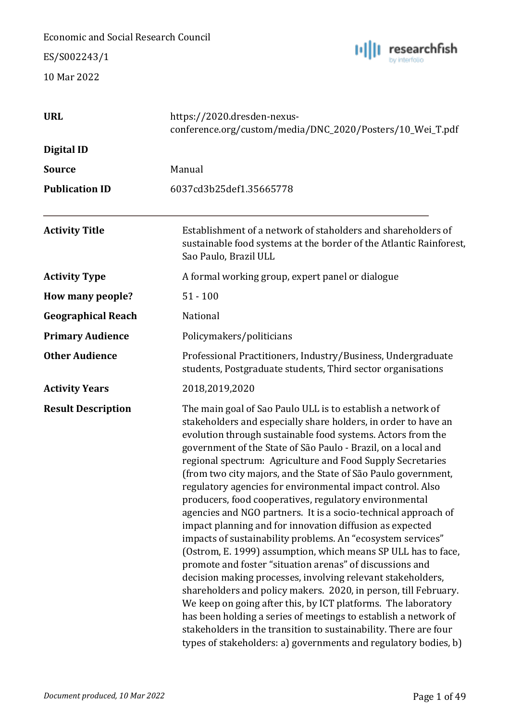ES/S002243/1



| <b>URL</b>                | https://2020.dresden-nexus-<br>conference.org/custom/media/DNC_2020/Posters/10_Wei_T.pdf                                                                                                                                                                                                                                                                                                                                                                                                                                                                                                                                                                                                                                                                                                                                                                                                                                                                                                                                                                                                                                                                                                                                                                    |
|---------------------------|-------------------------------------------------------------------------------------------------------------------------------------------------------------------------------------------------------------------------------------------------------------------------------------------------------------------------------------------------------------------------------------------------------------------------------------------------------------------------------------------------------------------------------------------------------------------------------------------------------------------------------------------------------------------------------------------------------------------------------------------------------------------------------------------------------------------------------------------------------------------------------------------------------------------------------------------------------------------------------------------------------------------------------------------------------------------------------------------------------------------------------------------------------------------------------------------------------------------------------------------------------------|
| Digital ID                |                                                                                                                                                                                                                                                                                                                                                                                                                                                                                                                                                                                                                                                                                                                                                                                                                                                                                                                                                                                                                                                                                                                                                                                                                                                             |
| <b>Source</b>             | Manual                                                                                                                                                                                                                                                                                                                                                                                                                                                                                                                                                                                                                                                                                                                                                                                                                                                                                                                                                                                                                                                                                                                                                                                                                                                      |
| <b>Publication ID</b>     | 6037cd3b25def1.35665778                                                                                                                                                                                                                                                                                                                                                                                                                                                                                                                                                                                                                                                                                                                                                                                                                                                                                                                                                                                                                                                                                                                                                                                                                                     |
| <b>Activity Title</b>     | Establishment of a network of staholders and shareholders of<br>sustainable food systems at the border of the Atlantic Rainforest,<br>Sao Paulo, Brazil ULL                                                                                                                                                                                                                                                                                                                                                                                                                                                                                                                                                                                                                                                                                                                                                                                                                                                                                                                                                                                                                                                                                                 |
| <b>Activity Type</b>      | A formal working group, expert panel or dialogue                                                                                                                                                                                                                                                                                                                                                                                                                                                                                                                                                                                                                                                                                                                                                                                                                                                                                                                                                                                                                                                                                                                                                                                                            |
| How many people?          | $51 - 100$                                                                                                                                                                                                                                                                                                                                                                                                                                                                                                                                                                                                                                                                                                                                                                                                                                                                                                                                                                                                                                                                                                                                                                                                                                                  |
| <b>Geographical Reach</b> | National                                                                                                                                                                                                                                                                                                                                                                                                                                                                                                                                                                                                                                                                                                                                                                                                                                                                                                                                                                                                                                                                                                                                                                                                                                                    |
| <b>Primary Audience</b>   | Policymakers/politicians                                                                                                                                                                                                                                                                                                                                                                                                                                                                                                                                                                                                                                                                                                                                                                                                                                                                                                                                                                                                                                                                                                                                                                                                                                    |
| <b>Other Audience</b>     | Professional Practitioners, Industry/Business, Undergraduate<br>students, Postgraduate students, Third sector organisations                                                                                                                                                                                                                                                                                                                                                                                                                                                                                                                                                                                                                                                                                                                                                                                                                                                                                                                                                                                                                                                                                                                                 |
| <b>Activity Years</b>     | 2018,2019,2020                                                                                                                                                                                                                                                                                                                                                                                                                                                                                                                                                                                                                                                                                                                                                                                                                                                                                                                                                                                                                                                                                                                                                                                                                                              |
| <b>Result Description</b> | The main goal of Sao Paulo ULL is to establish a network of<br>stakeholders and especially share holders, in order to have an<br>evolution through sustainable food systems. Actors from the<br>government of the State of São Paulo - Brazil, on a local and<br>regional spectrum: Agriculture and Food Supply Secretaries<br>(from two city majors, and the State of São Paulo government,<br>regulatory agencies for environmental impact control. Also<br>producers, food cooperatives, regulatory environmental<br>agencies and NGO partners. It is a socio-technical approach of<br>impact planning and for innovation diffusion as expected<br>impacts of sustainability problems. An "ecosystem services"<br>(Ostrom, E. 1999) assumption, which means SP ULL has to face,<br>promote and foster "situation arenas" of discussions and<br>decision making processes, involving relevant stakeholders,<br>shareholders and policy makers. 2020, in person, till February.<br>We keep on going after this, by ICT platforms. The laboratory<br>has been holding a series of meetings to establish a network of<br>stakeholders in the transition to sustainability. There are four<br>types of stakeholders: a) governments and regulatory bodies, b) |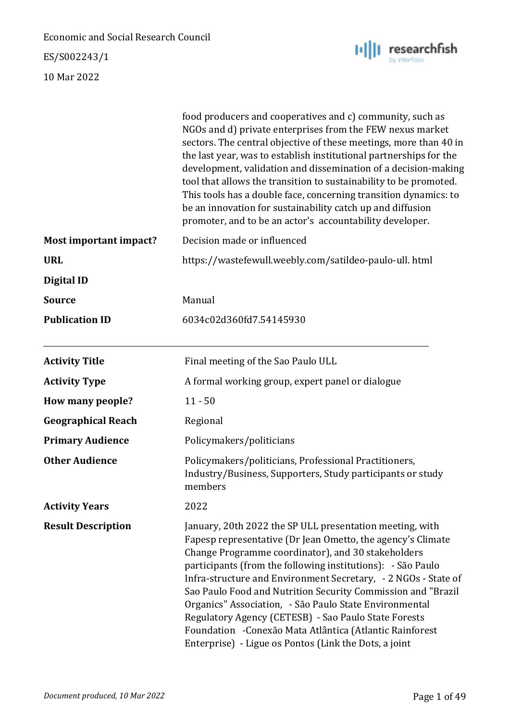ES/S002243/1



|                           | food producers and cooperatives and c) community, such as<br>NGOs and d) private enterprises from the FEW nexus market<br>sectors. The central objective of these meetings, more than 40 in<br>the last year, was to establish institutional partnerships for the<br>development, validation and dissemination of a decision-making<br>tool that allows the transition to sustainability to be promoted.<br>This tools has a double face, concerning transition dynamics: to<br>be an innovation for sustainability catch up and diffusion<br>promoter, and to be an actor's accountability developer.                |
|---------------------------|-----------------------------------------------------------------------------------------------------------------------------------------------------------------------------------------------------------------------------------------------------------------------------------------------------------------------------------------------------------------------------------------------------------------------------------------------------------------------------------------------------------------------------------------------------------------------------------------------------------------------|
| Most important impact?    | Decision made or influenced                                                                                                                                                                                                                                                                                                                                                                                                                                                                                                                                                                                           |
| <b>URL</b>                | https://wastefewull.weebly.com/satildeo-paulo-ull. html                                                                                                                                                                                                                                                                                                                                                                                                                                                                                                                                                               |
| <b>Digital ID</b>         |                                                                                                                                                                                                                                                                                                                                                                                                                                                                                                                                                                                                                       |
| <b>Source</b>             | Manual                                                                                                                                                                                                                                                                                                                                                                                                                                                                                                                                                                                                                |
| <b>Publication ID</b>     | 6034c02d360fd7.54145930                                                                                                                                                                                                                                                                                                                                                                                                                                                                                                                                                                                               |
| <b>Activity Title</b>     | Final meeting of the Sao Paulo ULL                                                                                                                                                                                                                                                                                                                                                                                                                                                                                                                                                                                    |
| <b>Activity Type</b>      | A formal working group, expert panel or dialogue                                                                                                                                                                                                                                                                                                                                                                                                                                                                                                                                                                      |
| How many people?          | $11 - 50$                                                                                                                                                                                                                                                                                                                                                                                                                                                                                                                                                                                                             |
| <b>Geographical Reach</b> | Regional                                                                                                                                                                                                                                                                                                                                                                                                                                                                                                                                                                                                              |
| <b>Primary Audience</b>   | Policymakers/politicians                                                                                                                                                                                                                                                                                                                                                                                                                                                                                                                                                                                              |
| <b>Other Audience</b>     | Policymakers/politicians, Professional Practitioners,<br>Industry/Business, Supporters, Study participants or study<br>members                                                                                                                                                                                                                                                                                                                                                                                                                                                                                        |
| <b>Activity Years</b>     | 2022                                                                                                                                                                                                                                                                                                                                                                                                                                                                                                                                                                                                                  |
| <b>Result Description</b> | January, 20th 2022 the SP ULL presentation meeting, with<br>Fapesp representative (Dr Jean Ometto, the agency's Climate<br>Change Programme coordinator), and 30 stakeholders<br>participants (from the following institutions): - São Paulo<br>Infra-structure and Environment Secretary, - 2 NGOs - State of<br>Sao Paulo Food and Nutrition Security Commission and "Brazil<br>Organics" Association, - São Paulo State Environmental<br>Regulatory Agency (CETESB) - Sao Paulo State Forests<br>Foundation - Conexão Mata Atlântica (Atlantic Rainforest<br>Enterprise) - Ligue os Pontos (Link the Dots, a joint |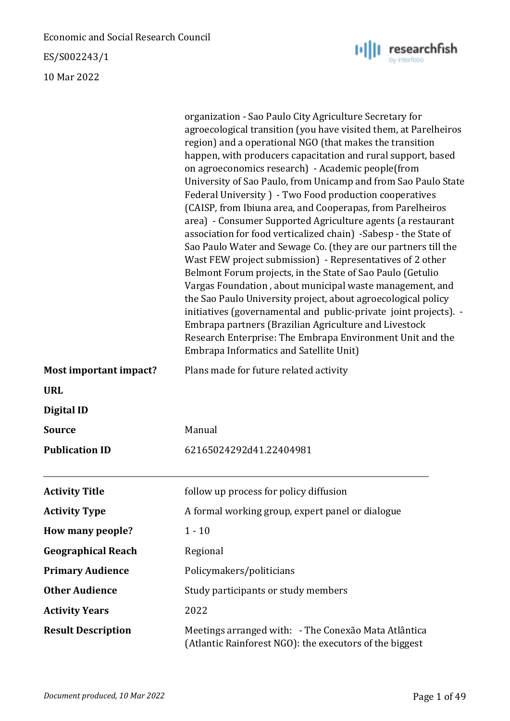ES/S002243/1

10 Mar 2022

|                           | organization - Sao Paulo City Agriculture Secretary for<br>agroecological transition (you have visited them, at Parelheiros<br>region) and a operational NGO (that makes the transition<br>happen, with producers capacitation and rural support, based<br>on agroeconomics research) - Academic people(from<br>University of Sao Paulo, from Unicamp and from Sao Paulo State<br>Federal University ) - Two Food production cooperatives<br>(CAISP, from Ibiuna area, and Cooperapas, from Parelheiros<br>area) - Consumer Supported Agriculture agents (a restaurant<br>association for food verticalized chain) -Sabesp - the State of<br>Sao Paulo Water and Sewage Co. (they are our partners till the<br>Wast FEW project submission) - Representatives of 2 other<br>Belmont Forum projects, in the State of Sao Paulo (Getulio<br>Vargas Foundation, about municipal waste management, and<br>the Sao Paulo University project, about agroecological policy<br>initiatives (governamental and public-private joint projects). -<br>Embrapa partners (Brazilian Agriculture and Livestock<br>Research Enterprise: The Embrapa Environment Unit and the<br>Embrapa Informatics and Satellite Unit) |
|---------------------------|----------------------------------------------------------------------------------------------------------------------------------------------------------------------------------------------------------------------------------------------------------------------------------------------------------------------------------------------------------------------------------------------------------------------------------------------------------------------------------------------------------------------------------------------------------------------------------------------------------------------------------------------------------------------------------------------------------------------------------------------------------------------------------------------------------------------------------------------------------------------------------------------------------------------------------------------------------------------------------------------------------------------------------------------------------------------------------------------------------------------------------------------------------------------------------------------------------|
| Most important impact?    | Plans made for future related activity                                                                                                                                                                                                                                                                                                                                                                                                                                                                                                                                                                                                                                                                                                                                                                                                                                                                                                                                                                                                                                                                                                                                                                   |
| <b>URL</b>                |                                                                                                                                                                                                                                                                                                                                                                                                                                                                                                                                                                                                                                                                                                                                                                                                                                                                                                                                                                                                                                                                                                                                                                                                          |
| <b>Digital ID</b>         |                                                                                                                                                                                                                                                                                                                                                                                                                                                                                                                                                                                                                                                                                                                                                                                                                                                                                                                                                                                                                                                                                                                                                                                                          |
| <b>Source</b>             | Manual                                                                                                                                                                                                                                                                                                                                                                                                                                                                                                                                                                                                                                                                                                                                                                                                                                                                                                                                                                                                                                                                                                                                                                                                   |
| <b>Publication ID</b>     | 62165024292d41.22404981                                                                                                                                                                                                                                                                                                                                                                                                                                                                                                                                                                                                                                                                                                                                                                                                                                                                                                                                                                                                                                                                                                                                                                                  |
| <b>Activity Title</b>     | follow up process for policy diffusion                                                                                                                                                                                                                                                                                                                                                                                                                                                                                                                                                                                                                                                                                                                                                                                                                                                                                                                                                                                                                                                                                                                                                                   |
| <b>Activity Type</b>      | A formal working group, expert panel or dialogue                                                                                                                                                                                                                                                                                                                                                                                                                                                                                                                                                                                                                                                                                                                                                                                                                                                                                                                                                                                                                                                                                                                                                         |
| How many people?          | $1 - 10$                                                                                                                                                                                                                                                                                                                                                                                                                                                                                                                                                                                                                                                                                                                                                                                                                                                                                                                                                                                                                                                                                                                                                                                                 |
| <b>Geographical Reach</b> | Regional                                                                                                                                                                                                                                                                                                                                                                                                                                                                                                                                                                                                                                                                                                                                                                                                                                                                                                                                                                                                                                                                                                                                                                                                 |
| <b>Primary Audience</b>   | Policymakers/politicians                                                                                                                                                                                                                                                                                                                                                                                                                                                                                                                                                                                                                                                                                                                                                                                                                                                                                                                                                                                                                                                                                                                                                                                 |
| <b>Other Audience</b>     | Study participants or study members                                                                                                                                                                                                                                                                                                                                                                                                                                                                                                                                                                                                                                                                                                                                                                                                                                                                                                                                                                                                                                                                                                                                                                      |
| <b>Activity Years</b>     | 2022                                                                                                                                                                                                                                                                                                                                                                                                                                                                                                                                                                                                                                                                                                                                                                                                                                                                                                                                                                                                                                                                                                                                                                                                     |
| <b>Result Description</b> | Meetings arranged with: - The Conexão Mata Atlântica<br>(Atlantic Rainforest NGO): the executors of the biggest                                                                                                                                                                                                                                                                                                                                                                                                                                                                                                                                                                                                                                                                                                                                                                                                                                                                                                                                                                                                                                                                                          |

 $\| \mathbf{u} \| \|$  researchfish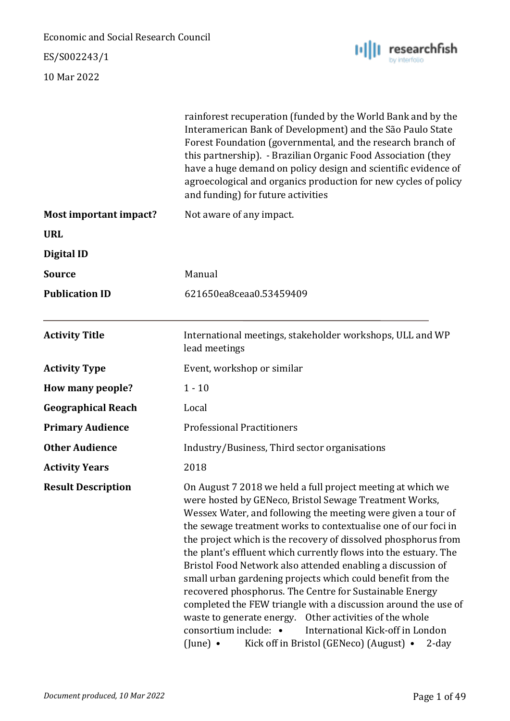ES/S002243/1



|                               | rainforest recuperation (funded by the World Bank and by the<br>Interamerican Bank of Development) and the São Paulo State<br>Forest Foundation (governmental, and the research branch of<br>this partnership). - Brazilian Organic Food Association (they<br>have a huge demand on policy design and scientific evidence of<br>agroecological and organics production for new cycles of policy<br>and funding) for future activities                                                                                                                                                                                                                                                                                                                                                                                                                       |  |
|-------------------------------|-------------------------------------------------------------------------------------------------------------------------------------------------------------------------------------------------------------------------------------------------------------------------------------------------------------------------------------------------------------------------------------------------------------------------------------------------------------------------------------------------------------------------------------------------------------------------------------------------------------------------------------------------------------------------------------------------------------------------------------------------------------------------------------------------------------------------------------------------------------|--|
| <b>Most important impact?</b> | Not aware of any impact.                                                                                                                                                                                                                                                                                                                                                                                                                                                                                                                                                                                                                                                                                                                                                                                                                                    |  |
| <b>URL</b>                    |                                                                                                                                                                                                                                                                                                                                                                                                                                                                                                                                                                                                                                                                                                                                                                                                                                                             |  |
| <b>Digital ID</b>             |                                                                                                                                                                                                                                                                                                                                                                                                                                                                                                                                                                                                                                                                                                                                                                                                                                                             |  |
| <b>Source</b>                 | Manual                                                                                                                                                                                                                                                                                                                                                                                                                                                                                                                                                                                                                                                                                                                                                                                                                                                      |  |
| <b>Publication ID</b>         | 621650ea8ceaa0.53459409                                                                                                                                                                                                                                                                                                                                                                                                                                                                                                                                                                                                                                                                                                                                                                                                                                     |  |
| <b>Activity Title</b>         | International meetings, stakeholder workshops, ULL and WP<br>lead meetings                                                                                                                                                                                                                                                                                                                                                                                                                                                                                                                                                                                                                                                                                                                                                                                  |  |
| <b>Activity Type</b>          | Event, workshop or similar                                                                                                                                                                                                                                                                                                                                                                                                                                                                                                                                                                                                                                                                                                                                                                                                                                  |  |
| How many people?              | $1 - 10$                                                                                                                                                                                                                                                                                                                                                                                                                                                                                                                                                                                                                                                                                                                                                                                                                                                    |  |
| <b>Geographical Reach</b>     | Local                                                                                                                                                                                                                                                                                                                                                                                                                                                                                                                                                                                                                                                                                                                                                                                                                                                       |  |
| <b>Primary Audience</b>       | <b>Professional Practitioners</b>                                                                                                                                                                                                                                                                                                                                                                                                                                                                                                                                                                                                                                                                                                                                                                                                                           |  |
| <b>Other Audience</b>         | Industry/Business, Third sector organisations                                                                                                                                                                                                                                                                                                                                                                                                                                                                                                                                                                                                                                                                                                                                                                                                               |  |
| <b>Activity Years</b>         | 2018                                                                                                                                                                                                                                                                                                                                                                                                                                                                                                                                                                                                                                                                                                                                                                                                                                                        |  |
| <b>Result Description</b>     | On August 7 2018 we held a full project meeting at which we<br>were hosted by GENeco, Bristol Sewage Treatment Works,<br>Wessex Water, and following the meeting were given a tour of<br>the sewage treatment works to contextualise one of our foci in<br>the project which is the recovery of dissolved phosphorus from<br>the plant's effluent which currently flows into the estuary. The<br>Bristol Food Network also attended enabling a discussion of<br>small urban gardening projects which could benefit from the<br>recovered phosphorus. The Centre for Sustainable Energy<br>completed the FEW triangle with a discussion around the use of<br>waste to generate energy. Other activities of the whole<br>consortium include: •<br>International Kick-off in London<br>(June) $\bullet$<br>Kick off in Bristol (GENeco) (August) •<br>$2$ -day |  |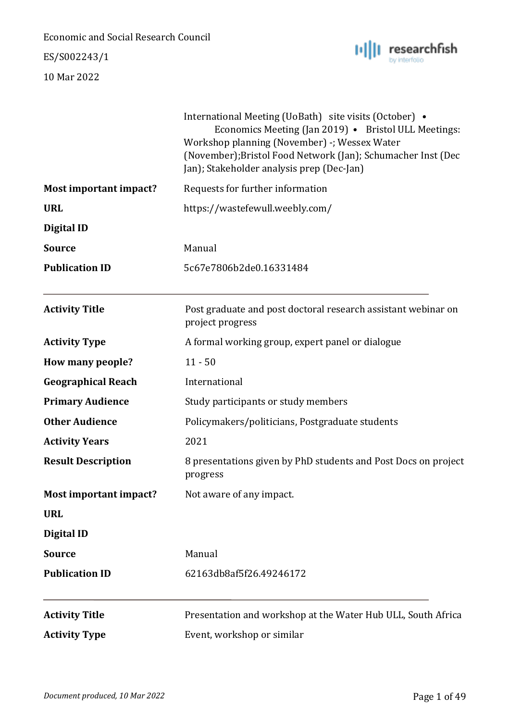### ES/S002243/1



| <b>Activity Type</b>          | Event, workshop or similar                                                                                                                                                                                                                                                  |
|-------------------------------|-----------------------------------------------------------------------------------------------------------------------------------------------------------------------------------------------------------------------------------------------------------------------------|
| <b>Activity Title</b>         | Presentation and workshop at the Water Hub ULL, South Africa                                                                                                                                                                                                                |
|                               |                                                                                                                                                                                                                                                                             |
| <b>Publication ID</b>         | 62163db8af5f26.49246172                                                                                                                                                                                                                                                     |
| <b>Source</b>                 | Manual                                                                                                                                                                                                                                                                      |
| Digital ID                    |                                                                                                                                                                                                                                                                             |
| <b>URL</b>                    |                                                                                                                                                                                                                                                                             |
| <b>Most important impact?</b> | Not aware of any impact.                                                                                                                                                                                                                                                    |
| <b>Result Description</b>     | 8 presentations given by PhD students and Post Docs on project<br>progress                                                                                                                                                                                                  |
| <b>Activity Years</b>         | 2021                                                                                                                                                                                                                                                                        |
| <b>Other Audience</b>         | Policymakers/politicians, Postgraduate students                                                                                                                                                                                                                             |
| <b>Primary Audience</b>       | Study participants or study members                                                                                                                                                                                                                                         |
| <b>Geographical Reach</b>     | International                                                                                                                                                                                                                                                               |
| How many people?              | $11 - 50$                                                                                                                                                                                                                                                                   |
| <b>Activity Type</b>          | A formal working group, expert panel or dialogue                                                                                                                                                                                                                            |
| <b>Activity Title</b>         | Post graduate and post doctoral research assistant webinar on<br>project progress                                                                                                                                                                                           |
| <b>Publication ID</b>         | 5c67e7806b2de0.16331484                                                                                                                                                                                                                                                     |
| <b>Source</b>                 | Manual                                                                                                                                                                                                                                                                      |
| Digital ID                    |                                                                                                                                                                                                                                                                             |
| <b>URL</b>                    | https://wastefewull.weebly.com/                                                                                                                                                                                                                                             |
| <b>Most important impact?</b> | Requests for further information                                                                                                                                                                                                                                            |
|                               | International Meeting (UoBath) site visits (October) •<br>Economics Meeting (Jan 2019) • Bristol ULL Meetings:<br>Workshop planning (November) -; Wessex Water<br>(November); Bristol Food Network (Jan); Schumacher Inst (Dec<br>Jan); Stakeholder analysis prep (Dec-Jan) |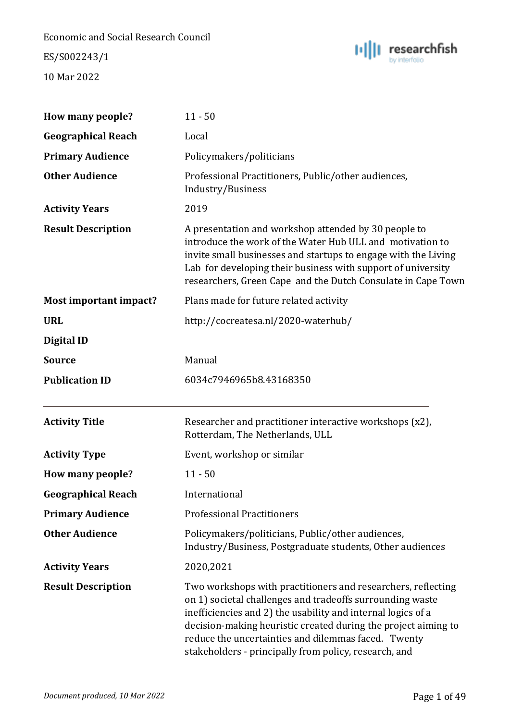ES/S002243/1



| How many people?          | $11 - 50$                                                                                                                                                                                                                                                                                                                                                                   |
|---------------------------|-----------------------------------------------------------------------------------------------------------------------------------------------------------------------------------------------------------------------------------------------------------------------------------------------------------------------------------------------------------------------------|
| <b>Geographical Reach</b> | Local                                                                                                                                                                                                                                                                                                                                                                       |
| <b>Primary Audience</b>   | Policymakers/politicians                                                                                                                                                                                                                                                                                                                                                    |
| <b>Other Audience</b>     | Professional Practitioners, Public/other audiences,<br>Industry/Business                                                                                                                                                                                                                                                                                                    |
| <b>Activity Years</b>     | 2019                                                                                                                                                                                                                                                                                                                                                                        |
| <b>Result Description</b> | A presentation and workshop attended by 30 people to<br>introduce the work of the Water Hub ULL and motivation to<br>invite small businesses and startups to engage with the Living<br>Lab for developing their business with support of university<br>researchers, Green Cape and the Dutch Consulate in Cape Town                                                         |
| Most important impact?    | Plans made for future related activity                                                                                                                                                                                                                                                                                                                                      |
| <b>URL</b>                | http://cocreatesa.nl/2020-waterhub/                                                                                                                                                                                                                                                                                                                                         |
| <b>Digital ID</b>         |                                                                                                                                                                                                                                                                                                                                                                             |
| <b>Source</b>             | Manual                                                                                                                                                                                                                                                                                                                                                                      |
| <b>Publication ID</b>     | 6034c7946965b8.43168350                                                                                                                                                                                                                                                                                                                                                     |
| <b>Activity Title</b>     | Researcher and practitioner interactive workshops (x2),<br>Rotterdam, The Netherlands, ULL                                                                                                                                                                                                                                                                                  |
| <b>Activity Type</b>      | Event, workshop or similar                                                                                                                                                                                                                                                                                                                                                  |
| How many people?          | $11 - 50$                                                                                                                                                                                                                                                                                                                                                                   |
| <b>Geographical Reach</b> | International                                                                                                                                                                                                                                                                                                                                                               |
| <b>Primary Audience</b>   | <b>Professional Practitioners</b>                                                                                                                                                                                                                                                                                                                                           |
| <b>Other Audience</b>     | Policymakers/politicians, Public/other audiences,<br>Industry/Business, Postgraduate students, Other audiences                                                                                                                                                                                                                                                              |
| <b>Activity Years</b>     | 2020,2021                                                                                                                                                                                                                                                                                                                                                                   |
| <b>Result Description</b> | Two workshops with practitioners and researchers, reflecting<br>on 1) societal challenges and tradeoffs surrounding waste<br>inefficiencies and 2) the usability and internal logics of a<br>decision-making heuristic created during the project aiming to<br>reduce the uncertainties and dilemmas faced. Twenty<br>stakeholders - principally from policy, research, and |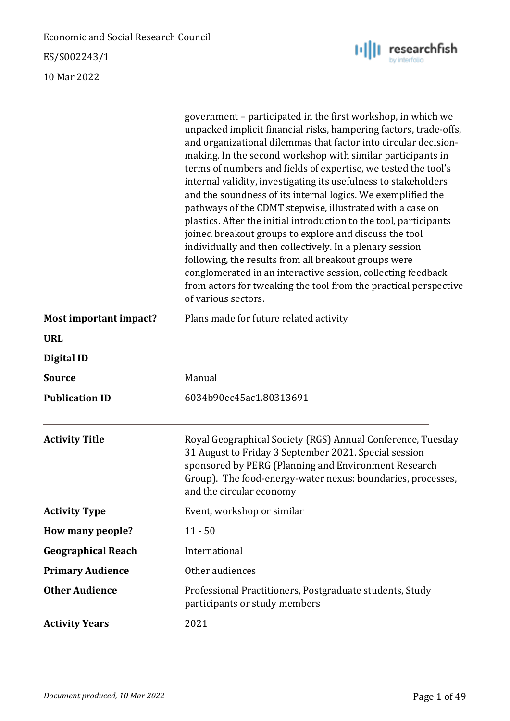ES/S002243/1



|                               | government – participated in the first workshop, in which we<br>unpacked implicit financial risks, hampering factors, trade-offs,<br>and organizational dilemmas that factor into circular decision-<br>making. In the second workshop with similar participants in<br>terms of numbers and fields of expertise, we tested the tool's<br>internal validity, investigating its usefulness to stakeholders<br>and the soundness of its internal logics. We exemplified the<br>pathways of the CDMT stepwise, illustrated with a case on<br>plastics. After the initial introduction to the tool, participants<br>joined breakout groups to explore and discuss the tool<br>individually and then collectively. In a plenary session<br>following, the results from all breakout groups were<br>conglomerated in an interactive session, collecting feedback<br>from actors for tweaking the tool from the practical perspective<br>of various sectors. |
|-------------------------------|------------------------------------------------------------------------------------------------------------------------------------------------------------------------------------------------------------------------------------------------------------------------------------------------------------------------------------------------------------------------------------------------------------------------------------------------------------------------------------------------------------------------------------------------------------------------------------------------------------------------------------------------------------------------------------------------------------------------------------------------------------------------------------------------------------------------------------------------------------------------------------------------------------------------------------------------------|
| <b>Most important impact?</b> | Plans made for future related activity                                                                                                                                                                                                                                                                                                                                                                                                                                                                                                                                                                                                                                                                                                                                                                                                                                                                                                               |
| <b>URL</b>                    |                                                                                                                                                                                                                                                                                                                                                                                                                                                                                                                                                                                                                                                                                                                                                                                                                                                                                                                                                      |
| Digital ID                    |                                                                                                                                                                                                                                                                                                                                                                                                                                                                                                                                                                                                                                                                                                                                                                                                                                                                                                                                                      |
| Source                        | Manual                                                                                                                                                                                                                                                                                                                                                                                                                                                                                                                                                                                                                                                                                                                                                                                                                                                                                                                                               |
| <b>Publication ID</b>         | 6034b90ec45ac1.80313691                                                                                                                                                                                                                                                                                                                                                                                                                                                                                                                                                                                                                                                                                                                                                                                                                                                                                                                              |
| <b>Activity Title</b>         | Royal Geographical Society (RGS) Annual Conference, Tuesday<br>31 August to Friday 3 September 2021. Special session<br>sponsored by PERG (Planning and Environment Research<br>Group). The food-energy-water nexus: boundaries, processes,<br>and the circular economy                                                                                                                                                                                                                                                                                                                                                                                                                                                                                                                                                                                                                                                                              |
| <b>Activity Type</b>          | Event, workshop or similar                                                                                                                                                                                                                                                                                                                                                                                                                                                                                                                                                                                                                                                                                                                                                                                                                                                                                                                           |
| How many people?              | $11 - 50$                                                                                                                                                                                                                                                                                                                                                                                                                                                                                                                                                                                                                                                                                                                                                                                                                                                                                                                                            |
| <b>Geographical Reach</b>     | International                                                                                                                                                                                                                                                                                                                                                                                                                                                                                                                                                                                                                                                                                                                                                                                                                                                                                                                                        |
| <b>Primary Audience</b>       | Other audiences                                                                                                                                                                                                                                                                                                                                                                                                                                                                                                                                                                                                                                                                                                                                                                                                                                                                                                                                      |
| <b>Other Audience</b>         | Professional Practitioners, Postgraduate students, Study<br>participants or study members                                                                                                                                                                                                                                                                                                                                                                                                                                                                                                                                                                                                                                                                                                                                                                                                                                                            |
| <b>Activity Years</b>         | 2021                                                                                                                                                                                                                                                                                                                                                                                                                                                                                                                                                                                                                                                                                                                                                                                                                                                                                                                                                 |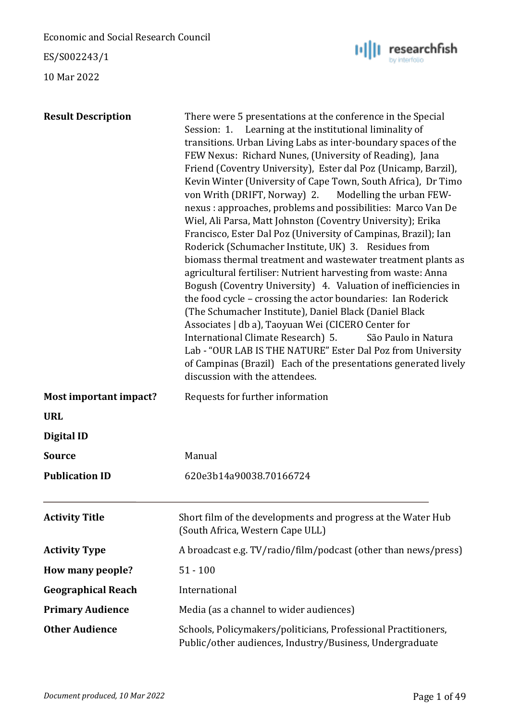ES/S002243/1



| <b>Result Description</b> | There were 5 presentations at the conference in the Special<br>Session: 1. Learning at the institutional liminality of<br>transitions. Urban Living Labs as inter-boundary spaces of the<br>FEW Nexus: Richard Nunes, (University of Reading), Jana<br>Friend (Coventry University), Ester dal Poz (Unicamp, Barzil),<br>Kevin Winter (University of Cape Town, South Africa), Dr Timo<br>von Writh (DRIFT, Norway) 2. Modelling the urban FEW-<br>nexus : approaches, problems and possibilities: Marco Van De<br>Wiel, Ali Parsa, Matt Johnston (Coventry University); Erika<br>Francisco, Ester Dal Poz (University of Campinas, Brazil); Ian<br>Roderick (Schumacher Institute, UK) 3. Residues from<br>biomass thermal treatment and wastewater treatment plants as<br>agricultural fertiliser: Nutrient harvesting from waste: Anna<br>Bogush (Coventry University) 4. Valuation of inefficiencies in<br>the food cycle - crossing the actor boundaries: Ian Roderick<br>(The Schumacher Institute), Daniel Black (Daniel Black)<br>Associates   db a), Taoyuan Wei (CICERO Center for<br>International Climate Research) 5.<br>São Paulo in Natura<br>Lab - "OUR LAB IS THE NATURE" Ester Dal Poz from University<br>of Campinas (Brazil) Each of the presentations generated lively<br>discussion with the attendees. |
|---------------------------|-------------------------------------------------------------------------------------------------------------------------------------------------------------------------------------------------------------------------------------------------------------------------------------------------------------------------------------------------------------------------------------------------------------------------------------------------------------------------------------------------------------------------------------------------------------------------------------------------------------------------------------------------------------------------------------------------------------------------------------------------------------------------------------------------------------------------------------------------------------------------------------------------------------------------------------------------------------------------------------------------------------------------------------------------------------------------------------------------------------------------------------------------------------------------------------------------------------------------------------------------------------------------------------------------------------------------------|
| Most important impact?    | Requests for further information                                                                                                                                                                                                                                                                                                                                                                                                                                                                                                                                                                                                                                                                                                                                                                                                                                                                                                                                                                                                                                                                                                                                                                                                                                                                                              |
| <b>URL</b>                |                                                                                                                                                                                                                                                                                                                                                                                                                                                                                                                                                                                                                                                                                                                                                                                                                                                                                                                                                                                                                                                                                                                                                                                                                                                                                                                               |
| <b>Digital ID</b>         |                                                                                                                                                                                                                                                                                                                                                                                                                                                                                                                                                                                                                                                                                                                                                                                                                                                                                                                                                                                                                                                                                                                                                                                                                                                                                                                               |
| <b>Source</b>             | Manual                                                                                                                                                                                                                                                                                                                                                                                                                                                                                                                                                                                                                                                                                                                                                                                                                                                                                                                                                                                                                                                                                                                                                                                                                                                                                                                        |
| <b>Publication ID</b>     | 620e3b14a90038.70166724                                                                                                                                                                                                                                                                                                                                                                                                                                                                                                                                                                                                                                                                                                                                                                                                                                                                                                                                                                                                                                                                                                                                                                                                                                                                                                       |
| <b>Activity Title</b>     | Short film of the developments and progress at the Water Hub<br>(South Africa, Western Cape ULL)                                                                                                                                                                                                                                                                                                                                                                                                                                                                                                                                                                                                                                                                                                                                                                                                                                                                                                                                                                                                                                                                                                                                                                                                                              |
| <b>Activity Type</b>      | A broadcast e.g. TV/radio/film/podcast (other than news/press)                                                                                                                                                                                                                                                                                                                                                                                                                                                                                                                                                                                                                                                                                                                                                                                                                                                                                                                                                                                                                                                                                                                                                                                                                                                                |
| How many people?          | $51 - 100$                                                                                                                                                                                                                                                                                                                                                                                                                                                                                                                                                                                                                                                                                                                                                                                                                                                                                                                                                                                                                                                                                                                                                                                                                                                                                                                    |
| <b>Geographical Reach</b> | International                                                                                                                                                                                                                                                                                                                                                                                                                                                                                                                                                                                                                                                                                                                                                                                                                                                                                                                                                                                                                                                                                                                                                                                                                                                                                                                 |
| <b>Primary Audience</b>   | Media (as a channel to wider audiences)                                                                                                                                                                                                                                                                                                                                                                                                                                                                                                                                                                                                                                                                                                                                                                                                                                                                                                                                                                                                                                                                                                                                                                                                                                                                                       |
| <b>Other Audience</b>     | Schools, Policymakers/politicians, Professional Practitioners,<br>Public/other audiences, Industry/Business, Undergraduate                                                                                                                                                                                                                                                                                                                                                                                                                                                                                                                                                                                                                                                                                                                                                                                                                                                                                                                                                                                                                                                                                                                                                                                                    |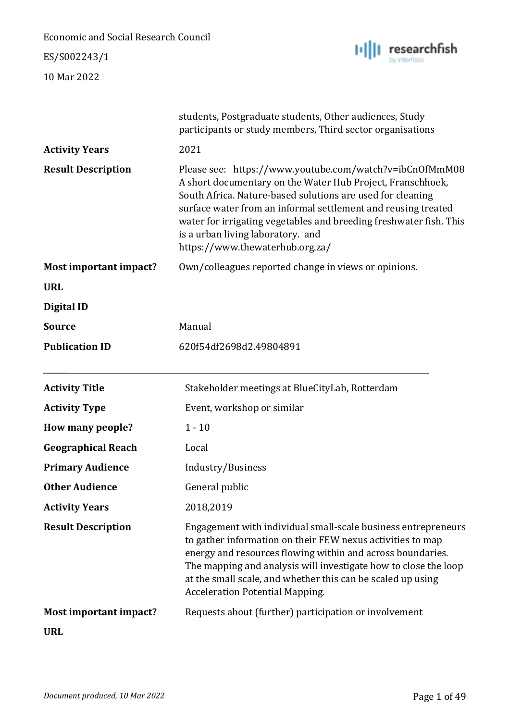ES/S002243/1



|                           | students, Postgraduate students, Other audiences, Study<br>participants or study members, Third sector organisations                                                                                                                                                                                                                                                                               |
|---------------------------|----------------------------------------------------------------------------------------------------------------------------------------------------------------------------------------------------------------------------------------------------------------------------------------------------------------------------------------------------------------------------------------------------|
| <b>Activity Years</b>     | 2021                                                                                                                                                                                                                                                                                                                                                                                               |
| <b>Result Description</b> | Please see: https://www.youtube.com/watch?v=ibCnOfMmM08<br>A short documentary on the Water Hub Project, Franschhoek,<br>South Africa. Nature-based solutions are used for cleaning<br>surface water from an informal settlement and reusing treated<br>water for irrigating vegetables and breeding freshwater fish. This<br>is a urban living laboratory. and<br>https://www.thewaterhub.org.za/ |
| Most important impact?    | Own/colleagues reported change in views or opinions.                                                                                                                                                                                                                                                                                                                                               |
| <b>URL</b>                |                                                                                                                                                                                                                                                                                                                                                                                                    |
| <b>Digital ID</b>         |                                                                                                                                                                                                                                                                                                                                                                                                    |
| <b>Source</b>             | Manual                                                                                                                                                                                                                                                                                                                                                                                             |
| <b>Publication ID</b>     | 620f54df2698d2.49804891                                                                                                                                                                                                                                                                                                                                                                            |
|                           |                                                                                                                                                                                                                                                                                                                                                                                                    |
| <b>Activity Title</b>     | Stakeholder meetings at BlueCityLab, Rotterdam                                                                                                                                                                                                                                                                                                                                                     |
| <b>Activity Type</b>      | Event, workshop or similar                                                                                                                                                                                                                                                                                                                                                                         |
| How many people?          | $1 - 10$                                                                                                                                                                                                                                                                                                                                                                                           |
| <b>Geographical Reach</b> | Local                                                                                                                                                                                                                                                                                                                                                                                              |
| <b>Primary Audience</b>   | Industry/Business                                                                                                                                                                                                                                                                                                                                                                                  |
| <b>Other Audience</b>     | General public                                                                                                                                                                                                                                                                                                                                                                                     |
| <b>Activity Years</b>     | 2018,2019                                                                                                                                                                                                                                                                                                                                                                                          |
| <b>Result Description</b> | Engagement with individual small-scale business entrepreneurs<br>to gather information on their FEW nexus activities to map<br>energy and resources flowing within and across boundaries.<br>The mapping and analysis will investigate how to close the loop<br>at the small scale, and whether this can be scaled up using<br><b>Acceleration Potential Mapping.</b>                              |
| Most important impact?    | Requests about (further) participation or involvement                                                                                                                                                                                                                                                                                                                                              |
| <b>URL</b>                |                                                                                                                                                                                                                                                                                                                                                                                                    |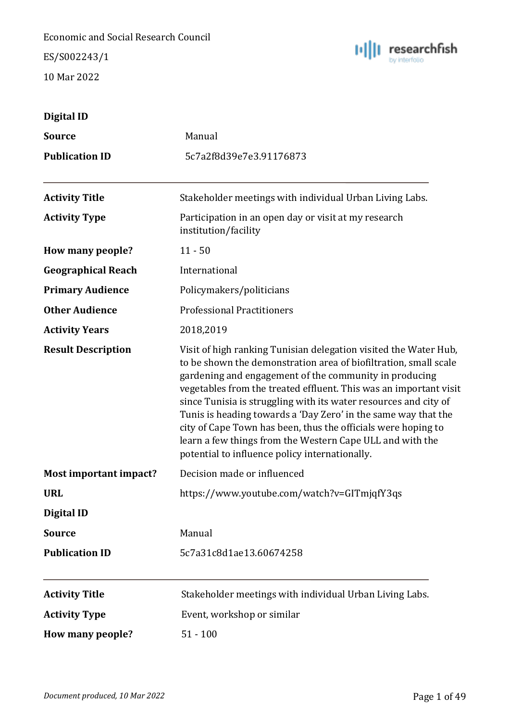ES/S002243/1



| Digital ID                |                                                                                                                                                                                                                                                                                                                                                                                                                                                                                                                                                                                           |
|---------------------------|-------------------------------------------------------------------------------------------------------------------------------------------------------------------------------------------------------------------------------------------------------------------------------------------------------------------------------------------------------------------------------------------------------------------------------------------------------------------------------------------------------------------------------------------------------------------------------------------|
| <b>Source</b>             | Manual                                                                                                                                                                                                                                                                                                                                                                                                                                                                                                                                                                                    |
| <b>Publication ID</b>     | 5c7a2f8d39e7e3.91176873                                                                                                                                                                                                                                                                                                                                                                                                                                                                                                                                                                   |
| <b>Activity Title</b>     | Stakeholder meetings with individual Urban Living Labs.                                                                                                                                                                                                                                                                                                                                                                                                                                                                                                                                   |
| <b>Activity Type</b>      | Participation in an open day or visit at my research<br>institution/facility                                                                                                                                                                                                                                                                                                                                                                                                                                                                                                              |
| How many people?          | $11 - 50$                                                                                                                                                                                                                                                                                                                                                                                                                                                                                                                                                                                 |
| <b>Geographical Reach</b> | International                                                                                                                                                                                                                                                                                                                                                                                                                                                                                                                                                                             |
| <b>Primary Audience</b>   | Policymakers/politicians                                                                                                                                                                                                                                                                                                                                                                                                                                                                                                                                                                  |
| <b>Other Audience</b>     | <b>Professional Practitioners</b>                                                                                                                                                                                                                                                                                                                                                                                                                                                                                                                                                         |
| <b>Activity Years</b>     | 2018,2019                                                                                                                                                                                                                                                                                                                                                                                                                                                                                                                                                                                 |
| <b>Result Description</b> | Visit of high ranking Tunisian delegation visited the Water Hub,<br>to be shown the demonstration area of biofiltration, small scale<br>gardening and engagement of the community in producing<br>vegetables from the treated effluent. This was an important visit<br>since Tunisia is struggling with its water resources and city of<br>Tunis is heading towards a 'Day Zero' in the same way that the<br>city of Cape Town has been, thus the officials were hoping to<br>learn a few things from the Western Cape ULL and with the<br>potential to influence policy internationally. |
| Most important impact?    | Decision made or influenced                                                                                                                                                                                                                                                                                                                                                                                                                                                                                                                                                               |
| <b>URL</b>                | https://www.youtube.com/watch?v=GITmjqfY3qs                                                                                                                                                                                                                                                                                                                                                                                                                                                                                                                                               |
| <b>Digital ID</b>         |                                                                                                                                                                                                                                                                                                                                                                                                                                                                                                                                                                                           |
| <b>Source</b>             | Manual                                                                                                                                                                                                                                                                                                                                                                                                                                                                                                                                                                                    |
| <b>Publication ID</b>     | 5c7a31c8d1ae13.60674258                                                                                                                                                                                                                                                                                                                                                                                                                                                                                                                                                                   |
| <b>Activity Title</b>     | Stakeholder meetings with individual Urban Living Labs.                                                                                                                                                                                                                                                                                                                                                                                                                                                                                                                                   |
| <b>Activity Type</b>      | Event, workshop or similar                                                                                                                                                                                                                                                                                                                                                                                                                                                                                                                                                                |
| How many people?          | $51 - 100$                                                                                                                                                                                                                                                                                                                                                                                                                                                                                                                                                                                |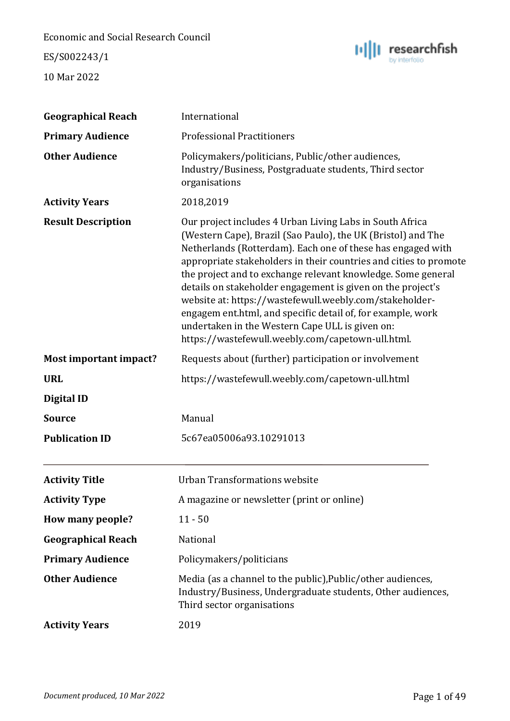ES/S002243/1



| <b>Geographical Reach</b> | International                                                                                                                                                                                                                                                                                                                                                                                                                                                                                                                                                                                                                 |
|---------------------------|-------------------------------------------------------------------------------------------------------------------------------------------------------------------------------------------------------------------------------------------------------------------------------------------------------------------------------------------------------------------------------------------------------------------------------------------------------------------------------------------------------------------------------------------------------------------------------------------------------------------------------|
| <b>Primary Audience</b>   | <b>Professional Practitioners</b>                                                                                                                                                                                                                                                                                                                                                                                                                                                                                                                                                                                             |
| <b>Other Audience</b>     | Policymakers/politicians, Public/other audiences,<br>Industry/Business, Postgraduate students, Third sector<br>organisations                                                                                                                                                                                                                                                                                                                                                                                                                                                                                                  |
| <b>Activity Years</b>     | 2018,2019                                                                                                                                                                                                                                                                                                                                                                                                                                                                                                                                                                                                                     |
| <b>Result Description</b> | Our project includes 4 Urban Living Labs in South Africa<br>(Western Cape), Brazil (Sao Paulo), the UK (Bristol) and The<br>Netherlands (Rotterdam). Each one of these has engaged with<br>appropriate stakeholders in their countries and cities to promote<br>the project and to exchange relevant knowledge. Some general<br>details on stakeholder engagement is given on the project's<br>website at: https://wastefewull.weebly.com/stakeholder-<br>engagem ent.html, and specific detail of, for example, work<br>undertaken in the Western Cape ULL is given on:<br>https://wastefewull.weebly.com/capetown-ull.html. |
| Most important impact?    | Requests about (further) participation or involvement                                                                                                                                                                                                                                                                                                                                                                                                                                                                                                                                                                         |
| <b>URL</b>                | https://wastefewull.weebly.com/capetown-ull.html                                                                                                                                                                                                                                                                                                                                                                                                                                                                                                                                                                              |
| <b>Digital ID</b>         |                                                                                                                                                                                                                                                                                                                                                                                                                                                                                                                                                                                                                               |
| <b>Source</b>             | Manual                                                                                                                                                                                                                                                                                                                                                                                                                                                                                                                                                                                                                        |
| <b>Publication ID</b>     | 5c67ea05006a93.10291013                                                                                                                                                                                                                                                                                                                                                                                                                                                                                                                                                                                                       |
| <b>Activity Title</b>     | <b>Urban Transformations website</b>                                                                                                                                                                                                                                                                                                                                                                                                                                                                                                                                                                                          |
| <b>Activity Type</b>      | A magazine or newsletter (print or online)                                                                                                                                                                                                                                                                                                                                                                                                                                                                                                                                                                                    |
| How many people?          | $11 - 50$                                                                                                                                                                                                                                                                                                                                                                                                                                                                                                                                                                                                                     |
| <b>Geographical Reach</b> | National                                                                                                                                                                                                                                                                                                                                                                                                                                                                                                                                                                                                                      |
| <b>Primary Audience</b>   | Policymakers/politicians                                                                                                                                                                                                                                                                                                                                                                                                                                                                                                                                                                                                      |
| <b>Other Audience</b>     | Media (as a channel to the public), Public/other audiences,<br>Industry/Business, Undergraduate students, Other audiences,<br>Third sector organisations                                                                                                                                                                                                                                                                                                                                                                                                                                                                      |
| <b>Activity Years</b>     | 2019                                                                                                                                                                                                                                                                                                                                                                                                                                                                                                                                                                                                                          |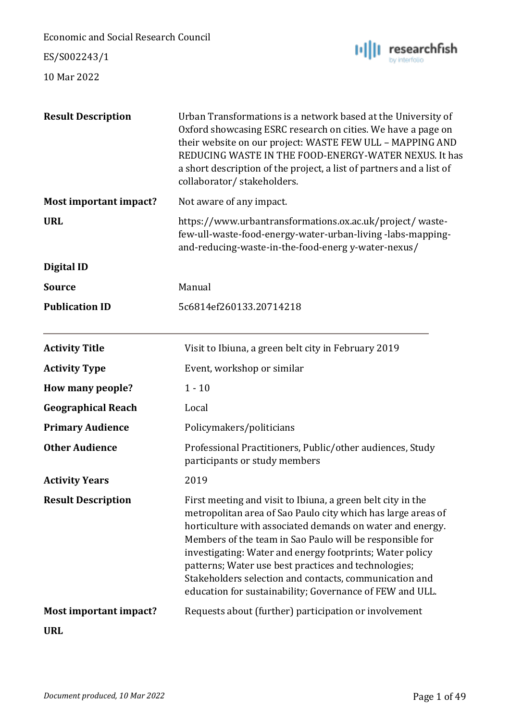ES/S002243/1



| <b>Result Description</b>     | Urban Transformations is a network based at the University of<br>Oxford showcasing ESRC research on cities. We have a page on<br>their website on our project: WASTE FEW ULL - MAPPING AND<br>REDUCING WASTE IN THE FOOD-ENERGY-WATER NEXUS. It has<br>a short description of the project, a list of partners and a list of<br>collaborator/stakeholders.                                                                                                                                      |
|-------------------------------|------------------------------------------------------------------------------------------------------------------------------------------------------------------------------------------------------------------------------------------------------------------------------------------------------------------------------------------------------------------------------------------------------------------------------------------------------------------------------------------------|
| <b>Most important impact?</b> | Not aware of any impact.                                                                                                                                                                                                                                                                                                                                                                                                                                                                       |
| <b>URL</b>                    | https://www.urbantransformations.ox.ac.uk/project/waste-<br>few-ull-waste-food-energy-water-urban-living-labs-mapping-<br>and-reducing-waste-in-the-food-energ y-water-nexus/                                                                                                                                                                                                                                                                                                                  |
| <b>Digital ID</b>             |                                                                                                                                                                                                                                                                                                                                                                                                                                                                                                |
| <b>Source</b>                 | Manual                                                                                                                                                                                                                                                                                                                                                                                                                                                                                         |
| <b>Publication ID</b>         | 5c6814ef260133.20714218                                                                                                                                                                                                                                                                                                                                                                                                                                                                        |
| <b>Activity Title</b>         | Visit to Ibiuna, a green belt city in February 2019                                                                                                                                                                                                                                                                                                                                                                                                                                            |
| <b>Activity Type</b>          | Event, workshop or similar                                                                                                                                                                                                                                                                                                                                                                                                                                                                     |
| How many people?              | $1 - 10$                                                                                                                                                                                                                                                                                                                                                                                                                                                                                       |
| <b>Geographical Reach</b>     | Local                                                                                                                                                                                                                                                                                                                                                                                                                                                                                          |
| <b>Primary Audience</b>       | Policymakers/politicians                                                                                                                                                                                                                                                                                                                                                                                                                                                                       |
| <b>Other Audience</b>         | Professional Practitioners, Public/other audiences, Study<br>participants or study members                                                                                                                                                                                                                                                                                                                                                                                                     |
| <b>Activity Years</b>         | 2019                                                                                                                                                                                                                                                                                                                                                                                                                                                                                           |
| <b>Result Description</b>     | First meeting and visit to Ibiuna, a green belt city in the<br>metropolitan area of Sao Paulo city which has large areas of<br>horticulture with associated demands on water and energy.<br>Members of the team in Sao Paulo will be responsible for<br>investigating: Water and energy footprints; Water policy<br>patterns; Water use best practices and technologies;<br>Stakeholders selection and contacts, communication and<br>education for sustainability; Governance of FEW and ULL. |
| <b>Most important impact?</b> | Requests about (further) participation or involvement                                                                                                                                                                                                                                                                                                                                                                                                                                          |
| <b>URL</b>                    |                                                                                                                                                                                                                                                                                                                                                                                                                                                                                                |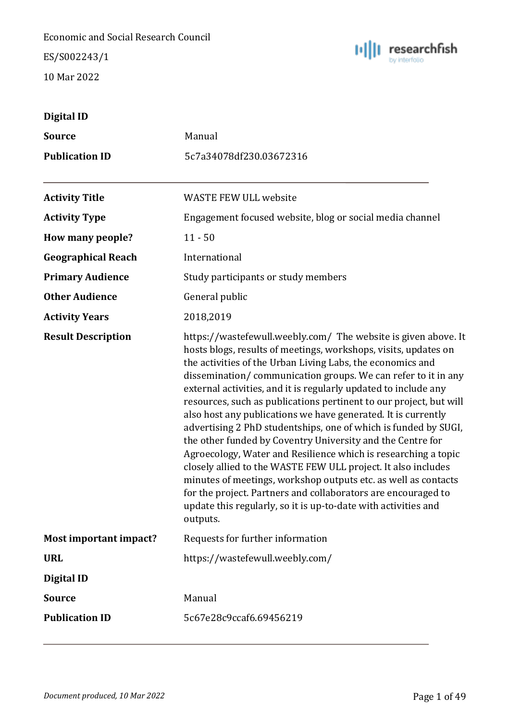ES/S002243/1



| Digital ID                |                                                                                                                                                                                                                                                                                                                                                                                                                                                                                                                                                                                                                                                                                                                                                                                                                                                                                                                                                                 |
|---------------------------|-----------------------------------------------------------------------------------------------------------------------------------------------------------------------------------------------------------------------------------------------------------------------------------------------------------------------------------------------------------------------------------------------------------------------------------------------------------------------------------------------------------------------------------------------------------------------------------------------------------------------------------------------------------------------------------------------------------------------------------------------------------------------------------------------------------------------------------------------------------------------------------------------------------------------------------------------------------------|
| <b>Source</b>             | Manual                                                                                                                                                                                                                                                                                                                                                                                                                                                                                                                                                                                                                                                                                                                                                                                                                                                                                                                                                          |
| <b>Publication ID</b>     | 5c7a34078df230.03672316                                                                                                                                                                                                                                                                                                                                                                                                                                                                                                                                                                                                                                                                                                                                                                                                                                                                                                                                         |
| <b>Activity Title</b>     | <b>WASTE FEW ULL website</b>                                                                                                                                                                                                                                                                                                                                                                                                                                                                                                                                                                                                                                                                                                                                                                                                                                                                                                                                    |
| <b>Activity Type</b>      | Engagement focused website, blog or social media channel                                                                                                                                                                                                                                                                                                                                                                                                                                                                                                                                                                                                                                                                                                                                                                                                                                                                                                        |
| How many people?          | $11 - 50$                                                                                                                                                                                                                                                                                                                                                                                                                                                                                                                                                                                                                                                                                                                                                                                                                                                                                                                                                       |
| <b>Geographical Reach</b> | International                                                                                                                                                                                                                                                                                                                                                                                                                                                                                                                                                                                                                                                                                                                                                                                                                                                                                                                                                   |
| <b>Primary Audience</b>   | Study participants or study members                                                                                                                                                                                                                                                                                                                                                                                                                                                                                                                                                                                                                                                                                                                                                                                                                                                                                                                             |
| <b>Other Audience</b>     | General public                                                                                                                                                                                                                                                                                                                                                                                                                                                                                                                                                                                                                                                                                                                                                                                                                                                                                                                                                  |
| <b>Activity Years</b>     | 2018,2019                                                                                                                                                                                                                                                                                                                                                                                                                                                                                                                                                                                                                                                                                                                                                                                                                                                                                                                                                       |
| <b>Result Description</b> | https://wastefewull.weebly.com/ The website is given above. It<br>hosts blogs, results of meetings, workshops, visits, updates on<br>the activities of the Urban Living Labs, the economics and<br>dissemination/communication groups. We can refer to it in any<br>external activities, and it is regularly updated to include any<br>resources, such as publications pertinent to our project, but will<br>also host any publications we have generated. It is currently<br>advertising 2 PhD studentships, one of which is funded by SUGI,<br>the other funded by Coventry University and the Centre for<br>Agroecology, Water and Resilience which is researching a topic<br>closely allied to the WASTE FEW ULL project. It also includes<br>minutes of meetings, workshop outputs etc. as well as contacts<br>for the project. Partners and collaborators are encouraged to<br>update this regularly, so it is up-to-date with activities and<br>outputs. |
| Most important impact?    | Requests for further information                                                                                                                                                                                                                                                                                                                                                                                                                                                                                                                                                                                                                                                                                                                                                                                                                                                                                                                                |
| <b>URL</b>                | https://wastefewull.weebly.com/                                                                                                                                                                                                                                                                                                                                                                                                                                                                                                                                                                                                                                                                                                                                                                                                                                                                                                                                 |
| Digital ID                |                                                                                                                                                                                                                                                                                                                                                                                                                                                                                                                                                                                                                                                                                                                                                                                                                                                                                                                                                                 |
| <b>Source</b>             | Manual                                                                                                                                                                                                                                                                                                                                                                                                                                                                                                                                                                                                                                                                                                                                                                                                                                                                                                                                                          |
| <b>Publication ID</b>     | 5c67e28c9ccaf6.69456219                                                                                                                                                                                                                                                                                                                                                                                                                                                                                                                                                                                                                                                                                                                                                                                                                                                                                                                                         |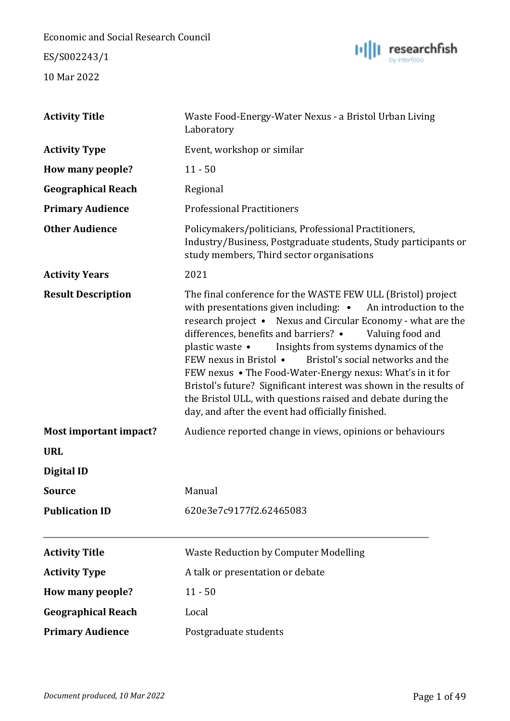ES/S002243/1



| <b>Activity Title</b>     | Waste Food-Energy-Water Nexus - a Bristol Urban Living<br>Laboratory                                                                                                                                                                                                                                                                                                                                                                                                                                                                                                                                                                                 |
|---------------------------|------------------------------------------------------------------------------------------------------------------------------------------------------------------------------------------------------------------------------------------------------------------------------------------------------------------------------------------------------------------------------------------------------------------------------------------------------------------------------------------------------------------------------------------------------------------------------------------------------------------------------------------------------|
| <b>Activity Type</b>      | Event, workshop or similar                                                                                                                                                                                                                                                                                                                                                                                                                                                                                                                                                                                                                           |
| How many people?          | $11 - 50$                                                                                                                                                                                                                                                                                                                                                                                                                                                                                                                                                                                                                                            |
| <b>Geographical Reach</b> | Regional                                                                                                                                                                                                                                                                                                                                                                                                                                                                                                                                                                                                                                             |
| <b>Primary Audience</b>   | <b>Professional Practitioners</b>                                                                                                                                                                                                                                                                                                                                                                                                                                                                                                                                                                                                                    |
| <b>Other Audience</b>     | Policymakers/politicians, Professional Practitioners,<br>Industry/Business, Postgraduate students, Study participants or<br>study members, Third sector organisations                                                                                                                                                                                                                                                                                                                                                                                                                                                                                |
| <b>Activity Years</b>     | 2021                                                                                                                                                                                                                                                                                                                                                                                                                                                                                                                                                                                                                                                 |
| <b>Result Description</b> | The final conference for the WASTE FEW ULL (Bristol) project<br>with presentations given including: • An introduction to the<br>research project • Nexus and Circular Economy - what are the<br>differences, benefits and barriers? •<br>Valuing food and<br>Insights from systems dynamics of the<br>plastic waste $\bullet$<br>FEW nexus in Bristol •<br>Bristol's social networks and the<br>FEW nexus • The Food-Water-Energy nexus: What's in it for<br>Bristol's future? Significant interest was shown in the results of<br>the Bristol ULL, with questions raised and debate during the<br>day, and after the event had officially finished. |
| Most important impact?    | Audience reported change in views, opinions or behaviours                                                                                                                                                                                                                                                                                                                                                                                                                                                                                                                                                                                            |
| <b>URL</b>                |                                                                                                                                                                                                                                                                                                                                                                                                                                                                                                                                                                                                                                                      |
| <b>Digital ID</b>         |                                                                                                                                                                                                                                                                                                                                                                                                                                                                                                                                                                                                                                                      |
| <b>Source</b>             | Manual                                                                                                                                                                                                                                                                                                                                                                                                                                                                                                                                                                                                                                               |
| <b>Publication ID</b>     | 620e3e7c9177f2.62465083                                                                                                                                                                                                                                                                                                                                                                                                                                                                                                                                                                                                                              |
| <b>Activity Title</b>     | <b>Waste Reduction by Computer Modelling</b>                                                                                                                                                                                                                                                                                                                                                                                                                                                                                                                                                                                                         |
| <b>Activity Type</b>      | A talk or presentation or debate                                                                                                                                                                                                                                                                                                                                                                                                                                                                                                                                                                                                                     |
| How many people?          | $11 - 50$                                                                                                                                                                                                                                                                                                                                                                                                                                                                                                                                                                                                                                            |
| <b>Geographical Reach</b> | Local                                                                                                                                                                                                                                                                                                                                                                                                                                                                                                                                                                                                                                                |
| <b>Primary Audience</b>   | Postgraduate students                                                                                                                                                                                                                                                                                                                                                                                                                                                                                                                                                                                                                                |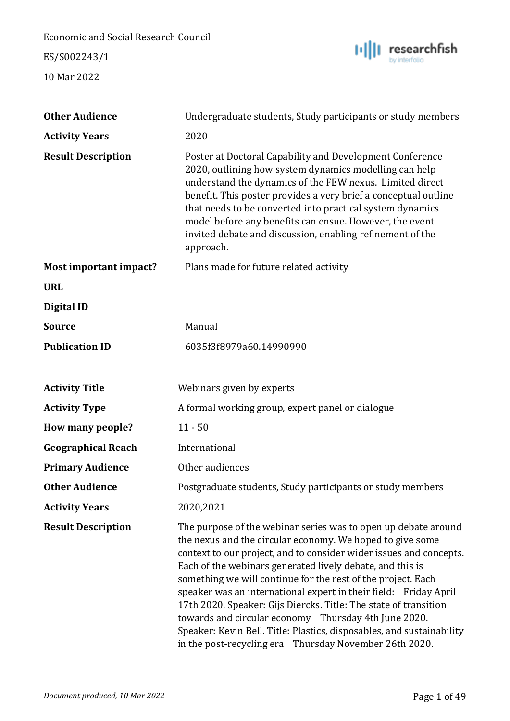ES/S002243/1



| <b>Other Audience</b>     | Undergraduate students, Study participants or study members                                                                                                                                                                                                                                                                                                                                                                                                                                                                                                                                                                                                       |
|---------------------------|-------------------------------------------------------------------------------------------------------------------------------------------------------------------------------------------------------------------------------------------------------------------------------------------------------------------------------------------------------------------------------------------------------------------------------------------------------------------------------------------------------------------------------------------------------------------------------------------------------------------------------------------------------------------|
| <b>Activity Years</b>     | 2020                                                                                                                                                                                                                                                                                                                                                                                                                                                                                                                                                                                                                                                              |
| <b>Result Description</b> | Poster at Doctoral Capability and Development Conference<br>2020, outlining how system dynamics modelling can help<br>understand the dynamics of the FEW nexus. Limited direct<br>benefit. This poster provides a very brief a conceptual outline<br>that needs to be converted into practical system dynamics<br>model before any benefits can ensue. However, the event<br>invited debate and discussion, enabling refinement of the<br>approach.                                                                                                                                                                                                               |
| Most important impact?    | Plans made for future related activity                                                                                                                                                                                                                                                                                                                                                                                                                                                                                                                                                                                                                            |
| <b>URL</b>                |                                                                                                                                                                                                                                                                                                                                                                                                                                                                                                                                                                                                                                                                   |
| Digital ID                |                                                                                                                                                                                                                                                                                                                                                                                                                                                                                                                                                                                                                                                                   |
| <b>Source</b>             | Manual                                                                                                                                                                                                                                                                                                                                                                                                                                                                                                                                                                                                                                                            |
| <b>Publication ID</b>     | 6035f3f8979a60.14990990                                                                                                                                                                                                                                                                                                                                                                                                                                                                                                                                                                                                                                           |
| <b>Activity Title</b>     | Webinars given by experts                                                                                                                                                                                                                                                                                                                                                                                                                                                                                                                                                                                                                                         |
| <b>Activity Type</b>      | A formal working group, expert panel or dialogue                                                                                                                                                                                                                                                                                                                                                                                                                                                                                                                                                                                                                  |
| How many people?          | $11 - 50$                                                                                                                                                                                                                                                                                                                                                                                                                                                                                                                                                                                                                                                         |
| <b>Geographical Reach</b> | International                                                                                                                                                                                                                                                                                                                                                                                                                                                                                                                                                                                                                                                     |
| <b>Primary Audience</b>   | Other audiences                                                                                                                                                                                                                                                                                                                                                                                                                                                                                                                                                                                                                                                   |
| <b>Other Audience</b>     | Postgraduate students, Study participants or study members                                                                                                                                                                                                                                                                                                                                                                                                                                                                                                                                                                                                        |
| <b>Activity Years</b>     | 2020,2021                                                                                                                                                                                                                                                                                                                                                                                                                                                                                                                                                                                                                                                         |
| <b>Result Description</b> | The purpose of the webinar series was to open up debate around<br>the nexus and the circular economy. We hoped to give some<br>context to our project, and to consider wider issues and concepts.<br>Each of the webinars generated lively debate, and this is<br>something we will continue for the rest of the project. Each<br>speaker was an international expert in their field: Friday April<br>17th 2020. Speaker: Gijs Diercks. Title: The state of transition<br>towards and circular economy Thursday 4th June 2020.<br>Speaker: Kevin Bell. Title: Plastics, disposables, and sustainability<br>in the post-recycling era Thursday November 26th 2020. |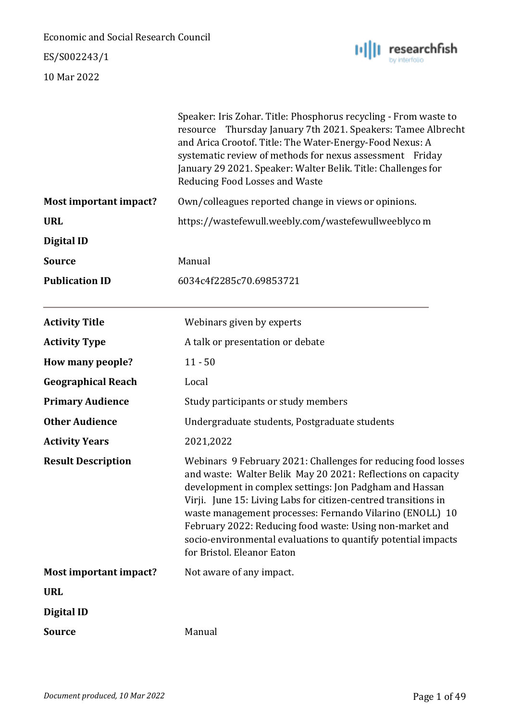ES/S002243/1



|                           | Speaker: Iris Zohar. Title: Phosphorus recycling - From waste to<br>resource Thursday January 7th 2021. Speakers: Tamee Albrecht<br>and Arica Crootof. Title: The Water-Energy-Food Nexus: A<br>systematic review of methods for nexus assessment Friday<br>January 29 2021. Speaker: Walter Belik. Title: Challenges for<br>Reducing Food Losses and Waste                                                                                                                       |
|---------------------------|-----------------------------------------------------------------------------------------------------------------------------------------------------------------------------------------------------------------------------------------------------------------------------------------------------------------------------------------------------------------------------------------------------------------------------------------------------------------------------------|
| Most important impact?    | Own/colleagues reported change in views or opinions.                                                                                                                                                                                                                                                                                                                                                                                                                              |
| <b>URL</b>                | https://wastefewull.weebly.com/wastefewullweeblyco m                                                                                                                                                                                                                                                                                                                                                                                                                              |
| Digital ID                |                                                                                                                                                                                                                                                                                                                                                                                                                                                                                   |
| <b>Source</b>             | Manual                                                                                                                                                                                                                                                                                                                                                                                                                                                                            |
| <b>Publication ID</b>     | 6034c4f2285c70.69853721                                                                                                                                                                                                                                                                                                                                                                                                                                                           |
| <b>Activity Title</b>     | Webinars given by experts                                                                                                                                                                                                                                                                                                                                                                                                                                                         |
| <b>Activity Type</b>      | A talk or presentation or debate                                                                                                                                                                                                                                                                                                                                                                                                                                                  |
| How many people?          | $11 - 50$                                                                                                                                                                                                                                                                                                                                                                                                                                                                         |
| <b>Geographical Reach</b> | Local                                                                                                                                                                                                                                                                                                                                                                                                                                                                             |
| <b>Primary Audience</b>   | Study participants or study members                                                                                                                                                                                                                                                                                                                                                                                                                                               |
| <b>Other Audience</b>     | Undergraduate students, Postgraduate students                                                                                                                                                                                                                                                                                                                                                                                                                                     |
| <b>Activity Years</b>     | 2021,2022                                                                                                                                                                                                                                                                                                                                                                                                                                                                         |
| <b>Result Description</b> | Webinars 9 February 2021: Challenges for reducing food losses<br>and waste: Walter Belik May 20 2021: Reflections on capacity<br>development in complex settings: Jon Padgham and Hassan<br>Virji. June 15: Living Labs for citizen-centred transitions in<br>waste management processes: Fernando Vilarino (ENOLL) 10<br>February 2022: Reducing food waste: Using non-market and<br>socio-environmental evaluations to quantify potential impacts<br>for Bristol. Eleanor Eaton |
| Most important impact?    | Not aware of any impact.                                                                                                                                                                                                                                                                                                                                                                                                                                                          |
| <b>URL</b>                |                                                                                                                                                                                                                                                                                                                                                                                                                                                                                   |
| Digital ID                |                                                                                                                                                                                                                                                                                                                                                                                                                                                                                   |
| <b>Source</b>             | Manual                                                                                                                                                                                                                                                                                                                                                                                                                                                                            |